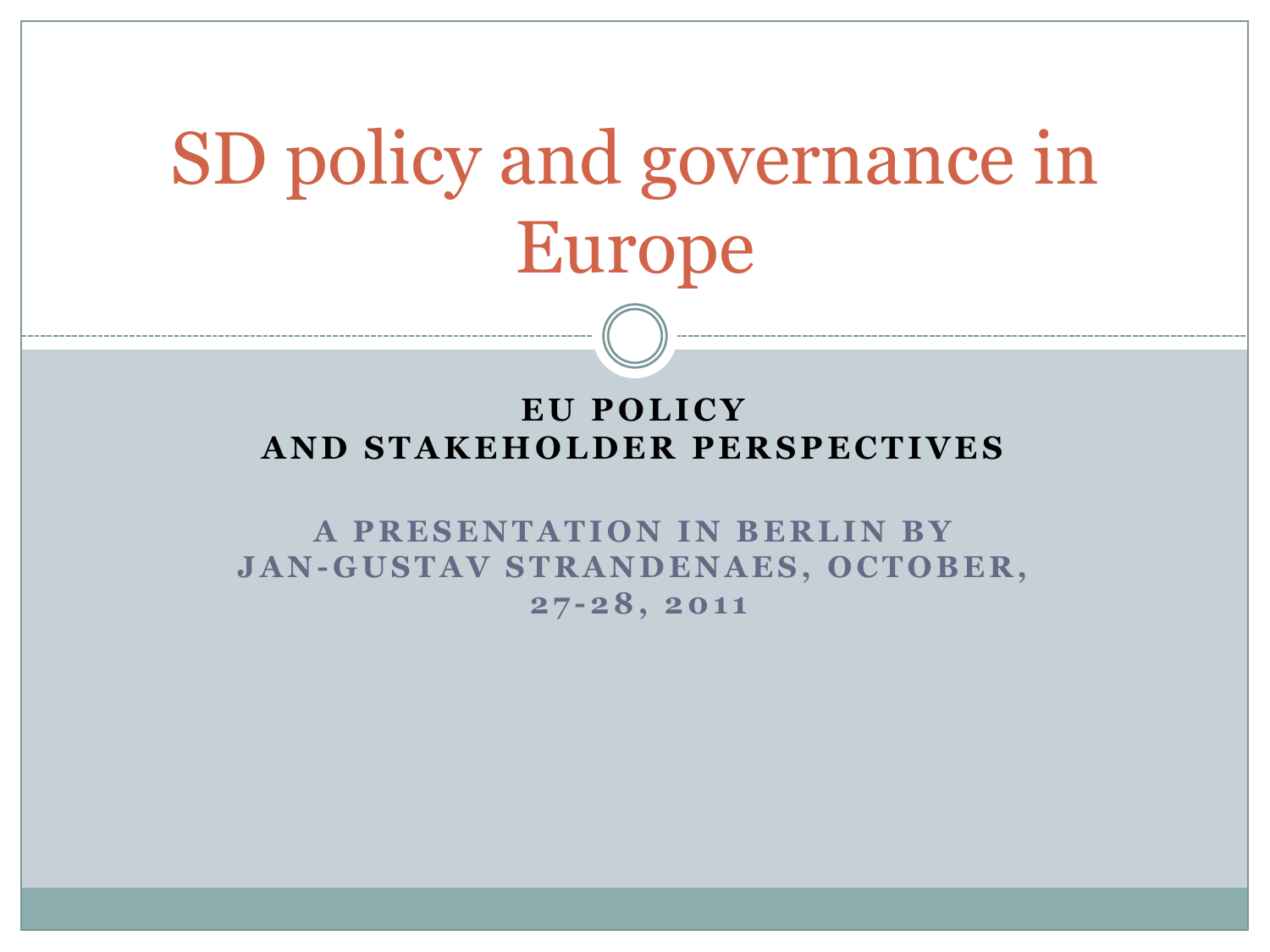# SD policy and governance in Europe

#### EU POLICY **A N D S T A K E H O L D E R P E R S P E C T I V E S**

**A PRESENTATION IN BERLIN BY J A N - G U S T A V S T R A N D E N A E S , O C T O B E R , 2 7 -2 8 , 2 0 1 1**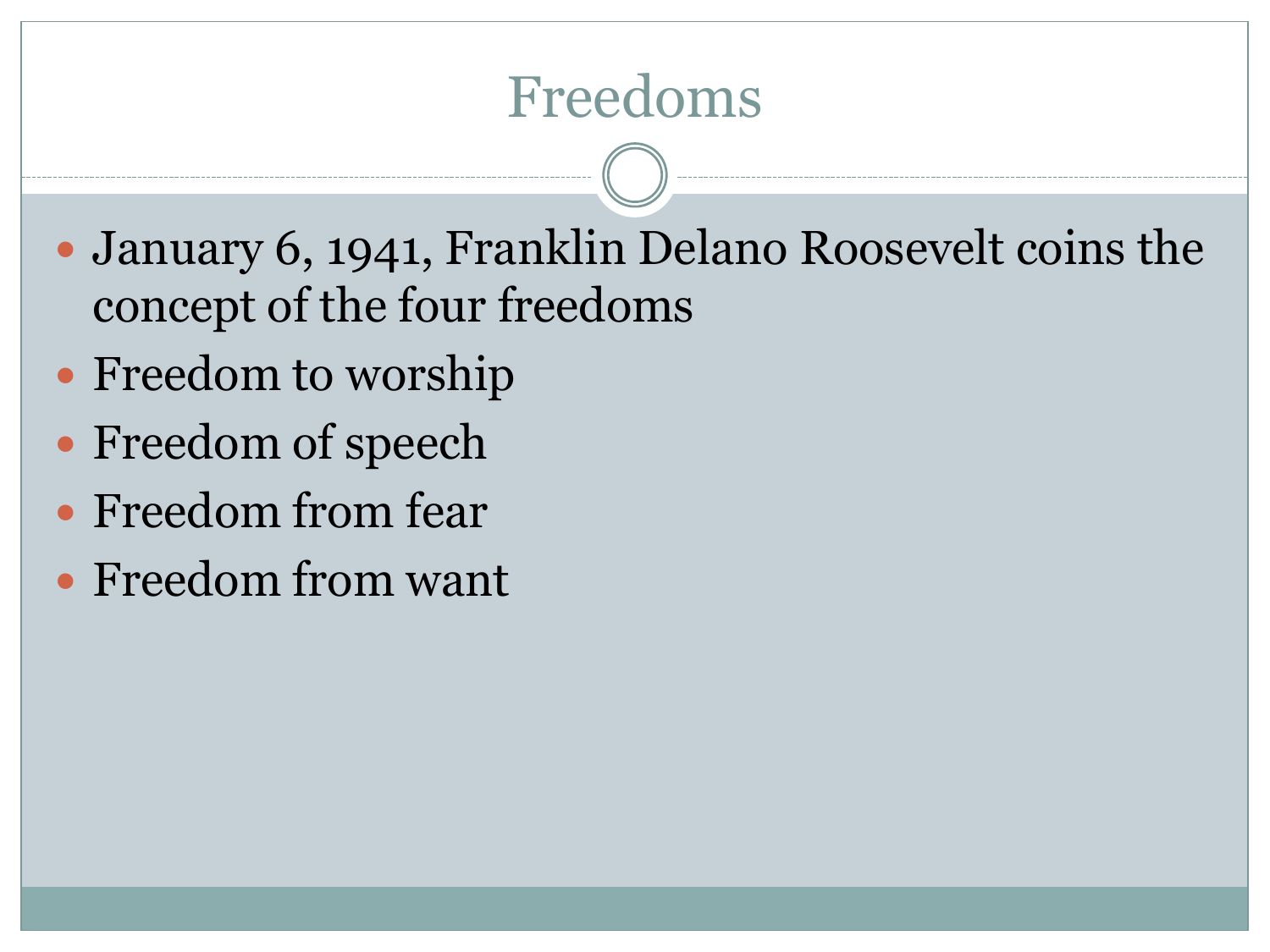#### Freedoms

- January 6, 1941, Franklin Delano Roosevelt coins the concept of the four freedoms
- Freedom to worship
- Freedom of speech
- Freedom from fear
- Freedom from want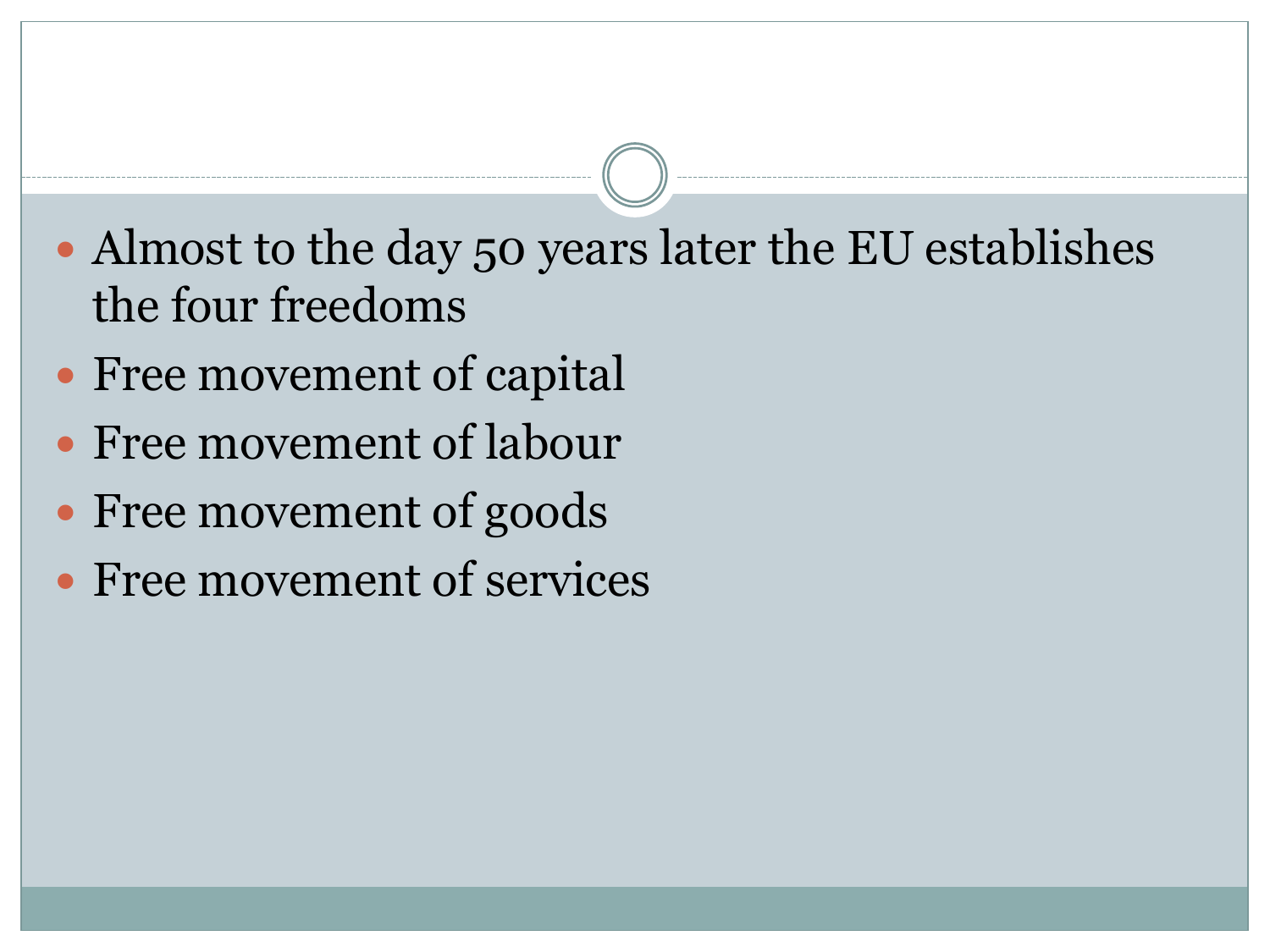- Almost to the day 50 years later the EU establishes the four freedoms
- Free movement of capital
- Free movement of labour
- Free movement of goods
- Free movement of services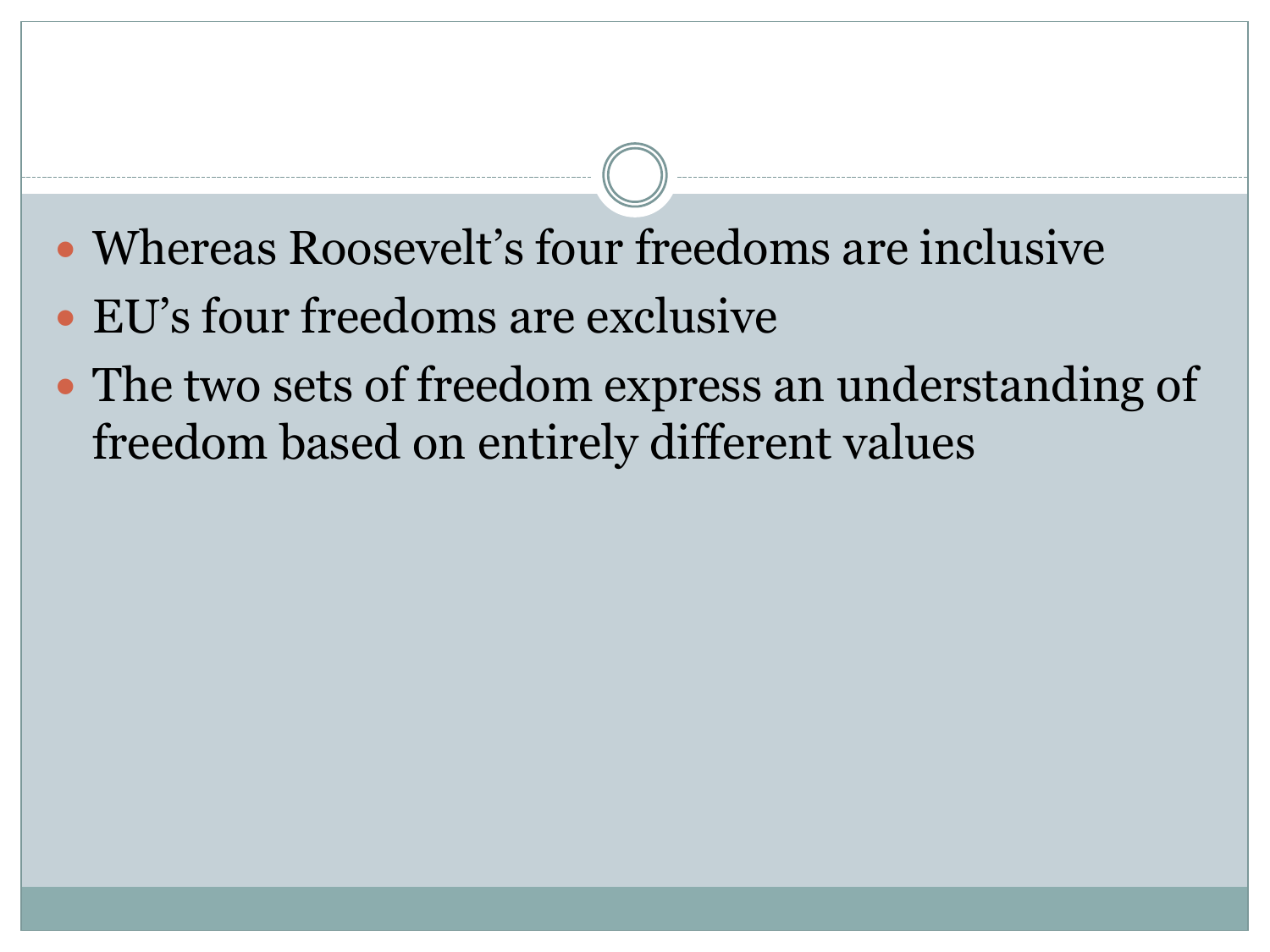- Whereas Roosevelt's four freedoms are inclusive
- EU's four freedoms are exclusive
- The two sets of freedom express an understanding of freedom based on entirely different values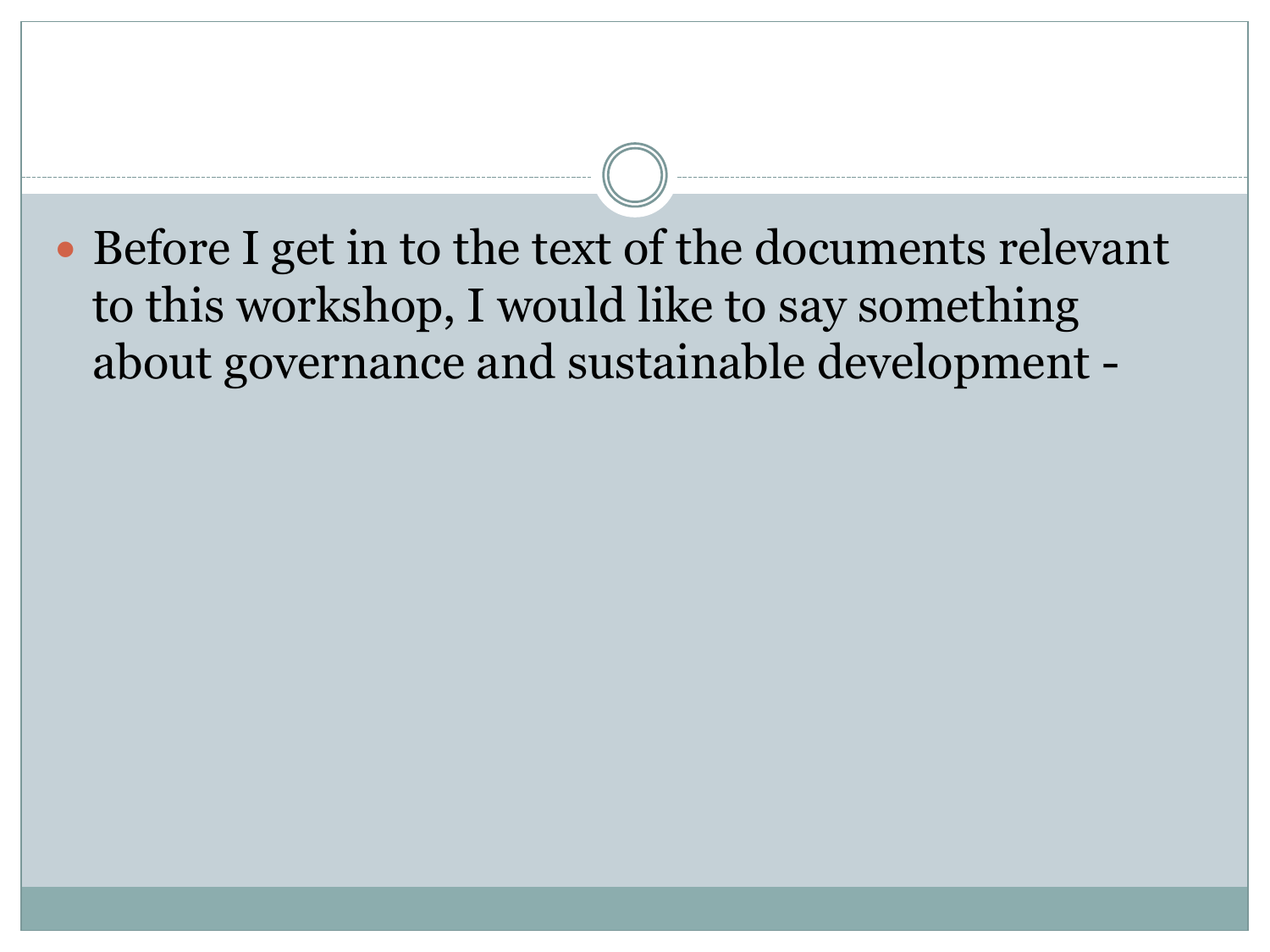Before I get in to the text of the documents relevant to this workshop, I would like to say something about governance and sustainable development -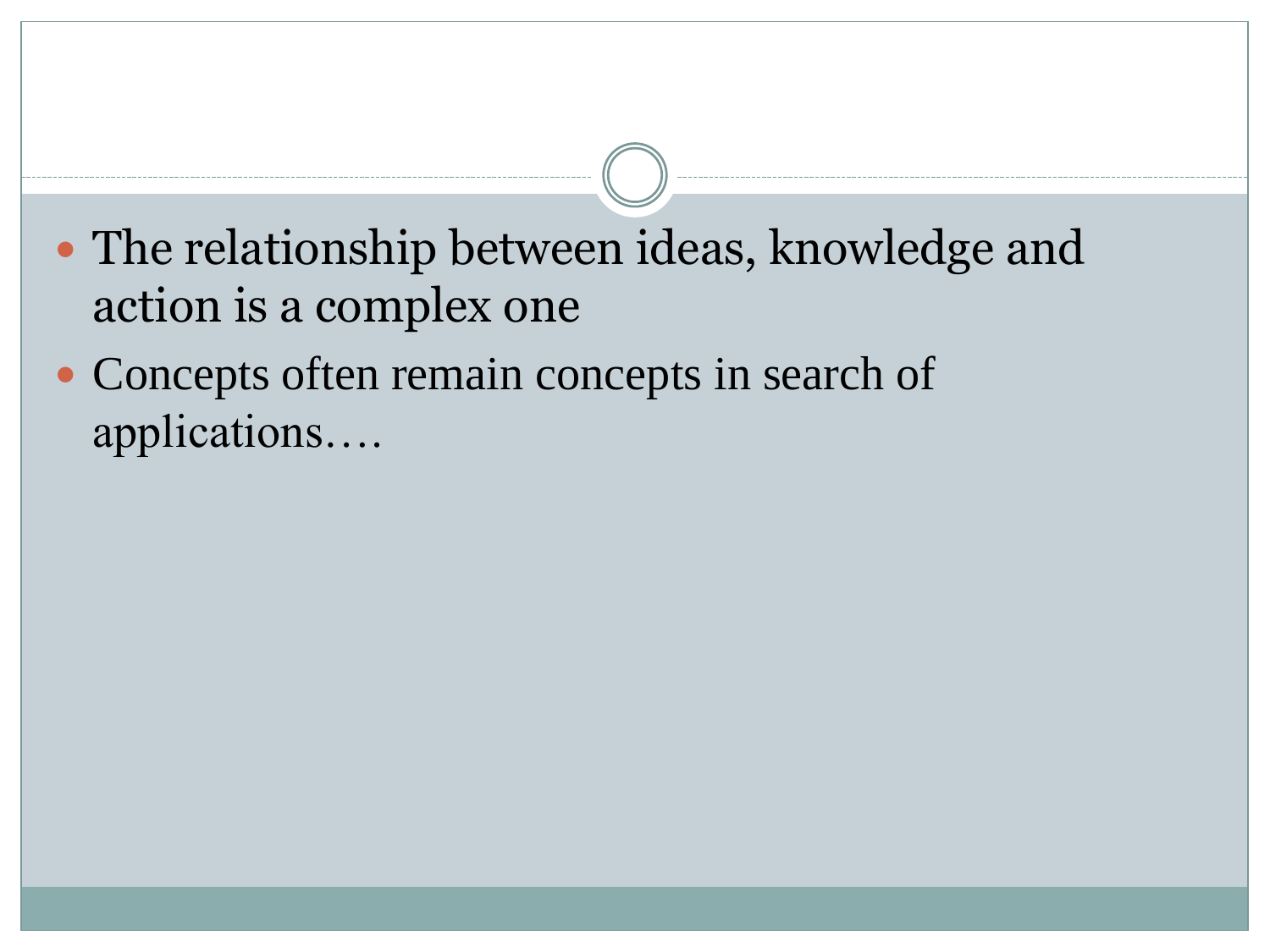- The relationship between ideas, knowledge and action is a complex one
- Concepts often remain concepts in search of applications….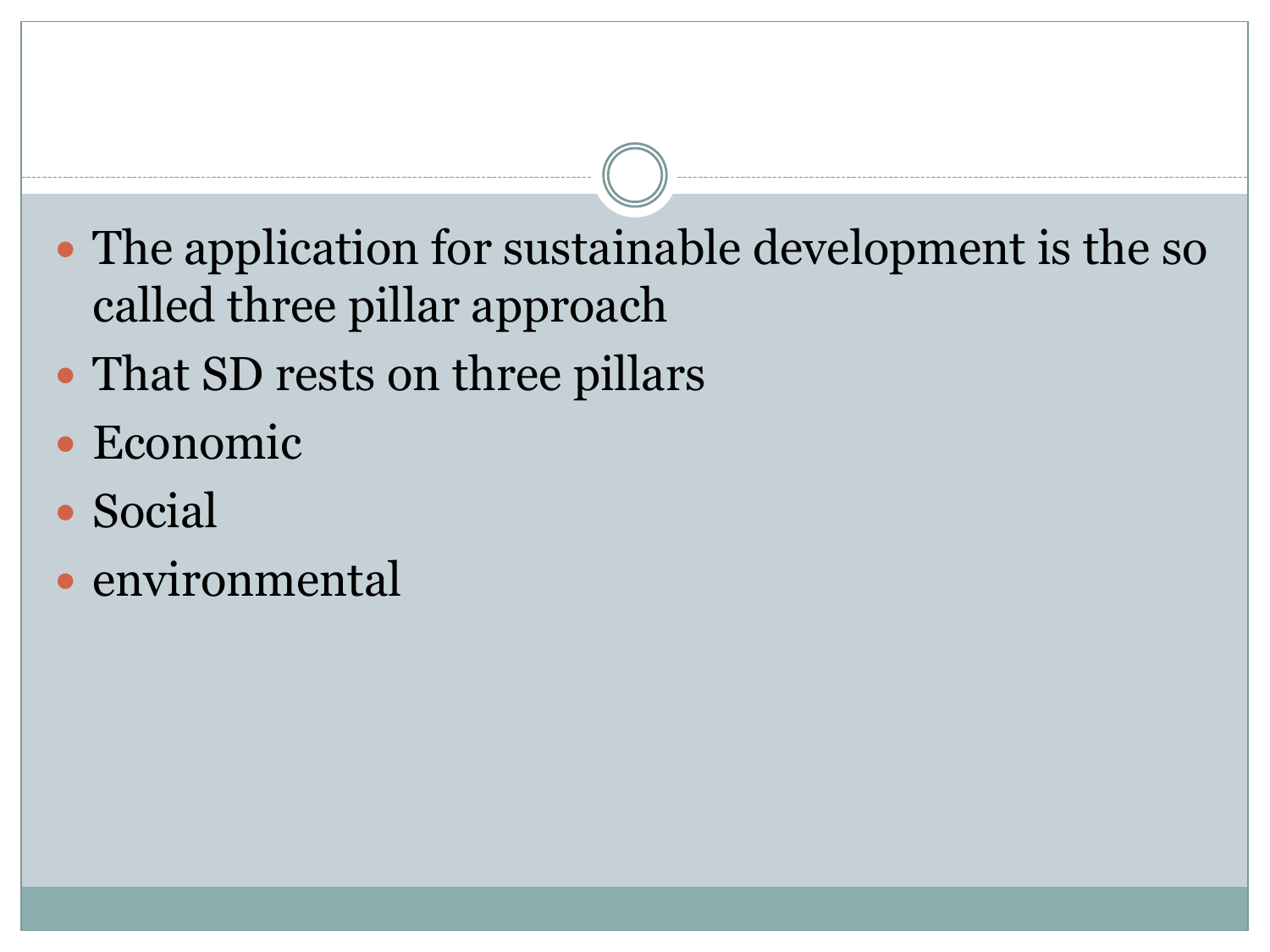- The application for sustainable development is the so called three pillar approach
- That SD rests on three pillars
- Economic
- Social
- environmental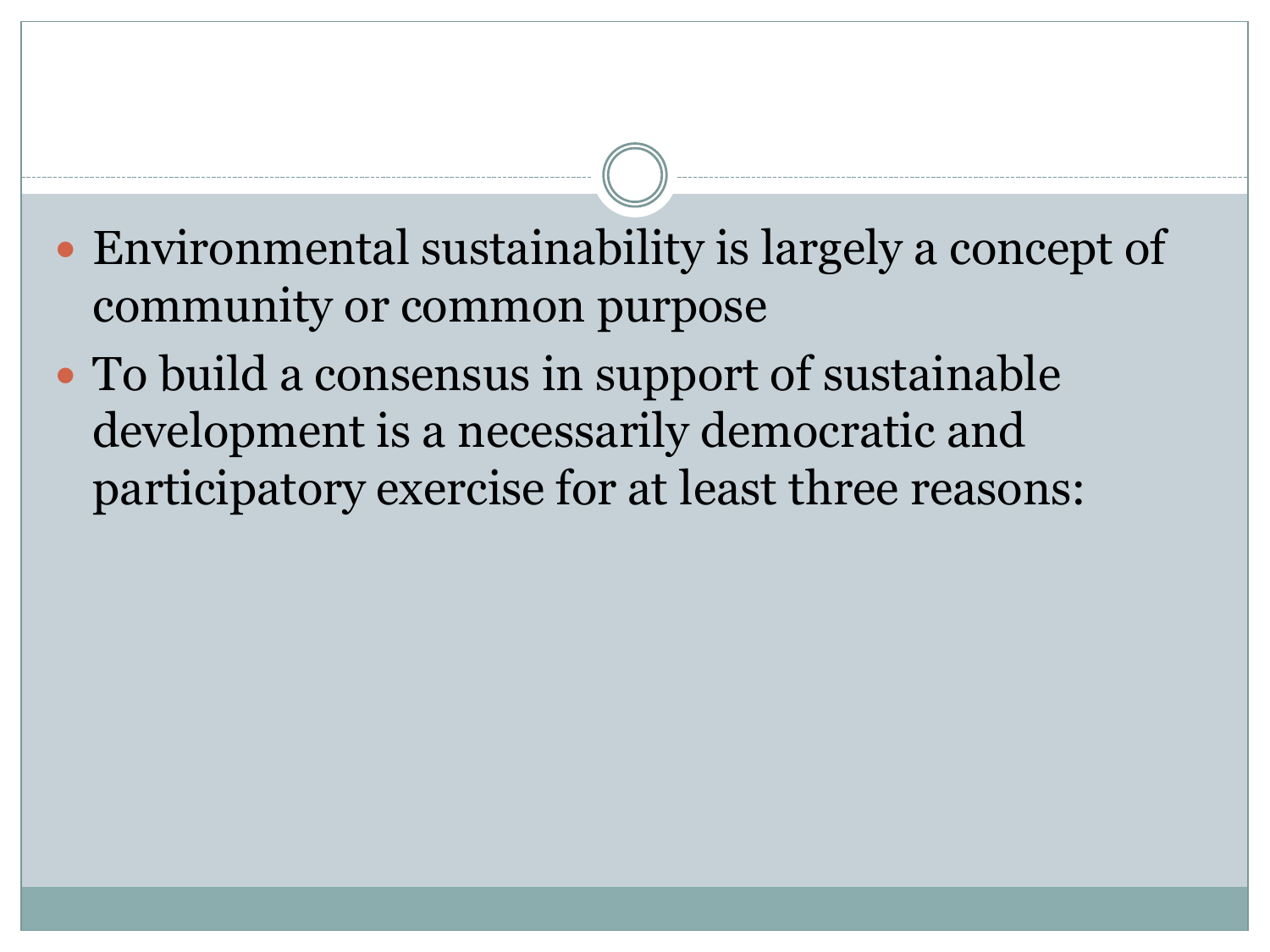- Environmental sustainability is largely a concept of community or common purpose
- To build a consensus in support of sustainable development is a necessarily democratic and participatory exercise for at least three reasons: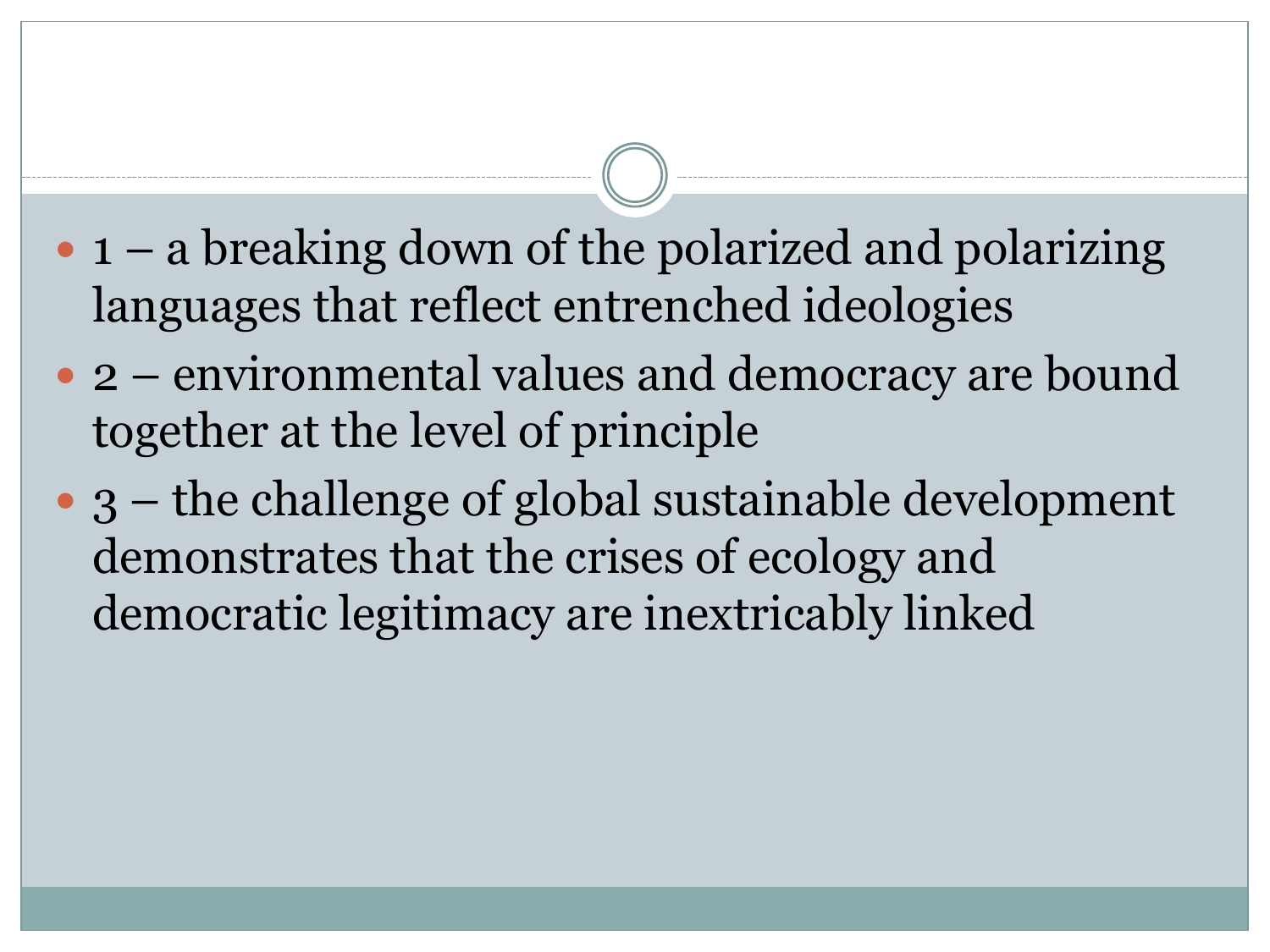- $\bullet$  1 a breaking down of the polarized and polarizing languages that reflect entrenched ideologies
- 2 environmental values and democracy are bound together at the level of principle
- 3 the challenge of global sustainable development demonstrates that the crises of ecology and democratic legitimacy are inextricably linked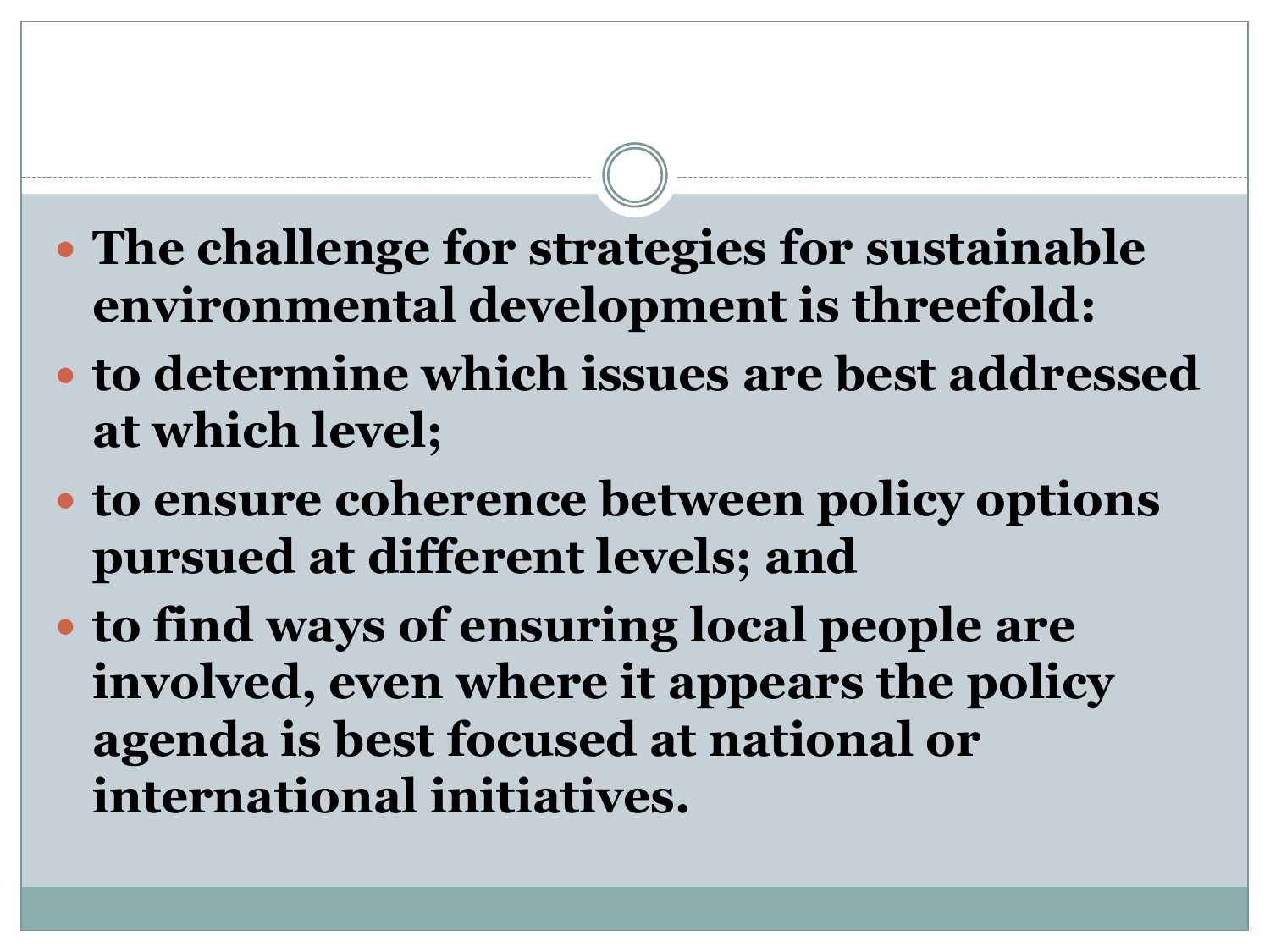- **The challenge for strategies for sustainable environmental development is threefold:**
- **to determine which issues are best addressed at which level;**
- **to ensure coherence between policy options pursued at different levels; and**
- **to find ways of ensuring local people are involved, even where it appears the policy agenda is best focused at national or international initiatives.**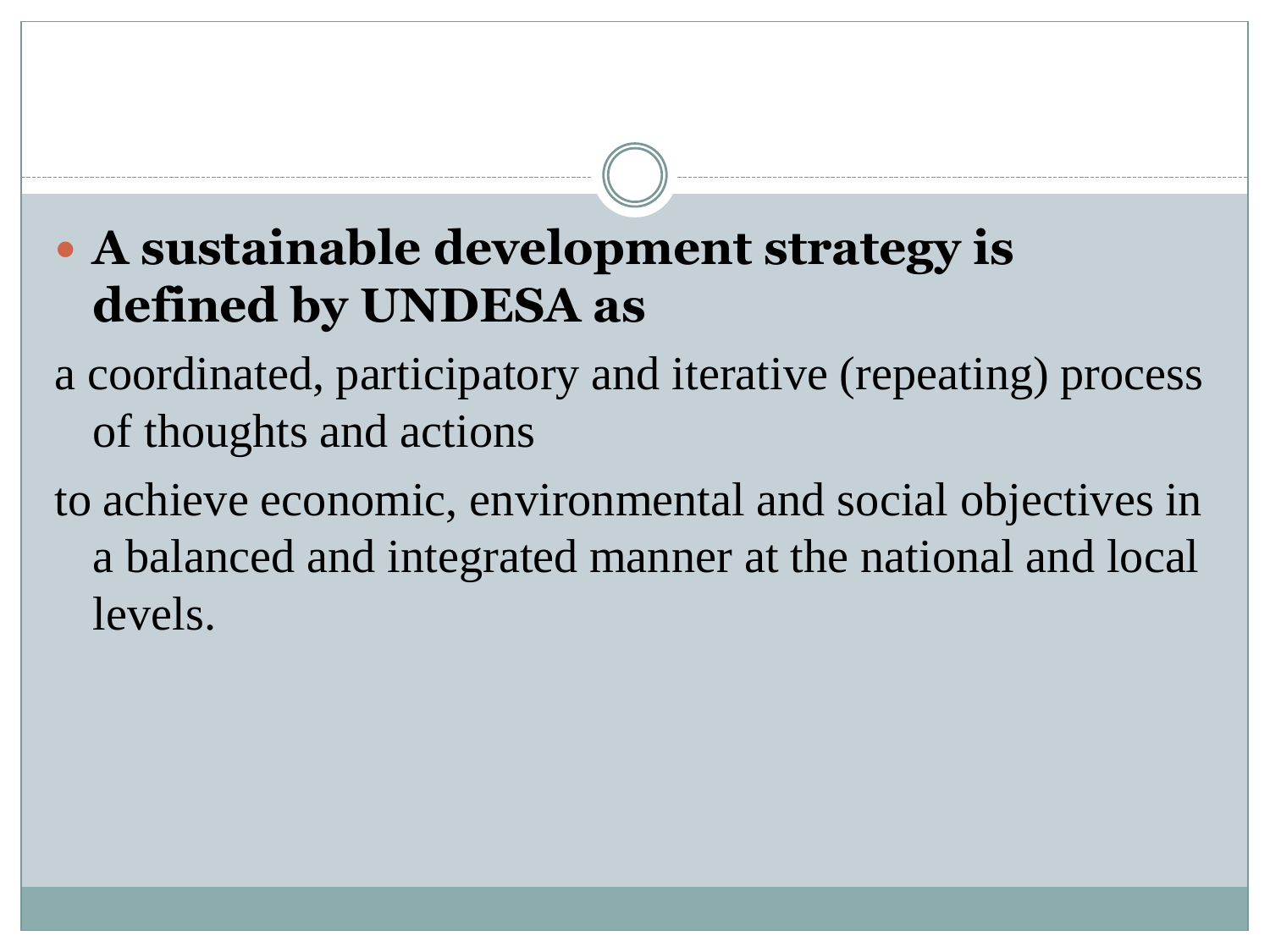#### **A sustainable development strategy is defined by UNDESA as**

a coordinated, participatory and iterative (repeating) process of thoughts and actions

to achieve economic, environmental and social objectives in a balanced and integrated manner at the national and local levels.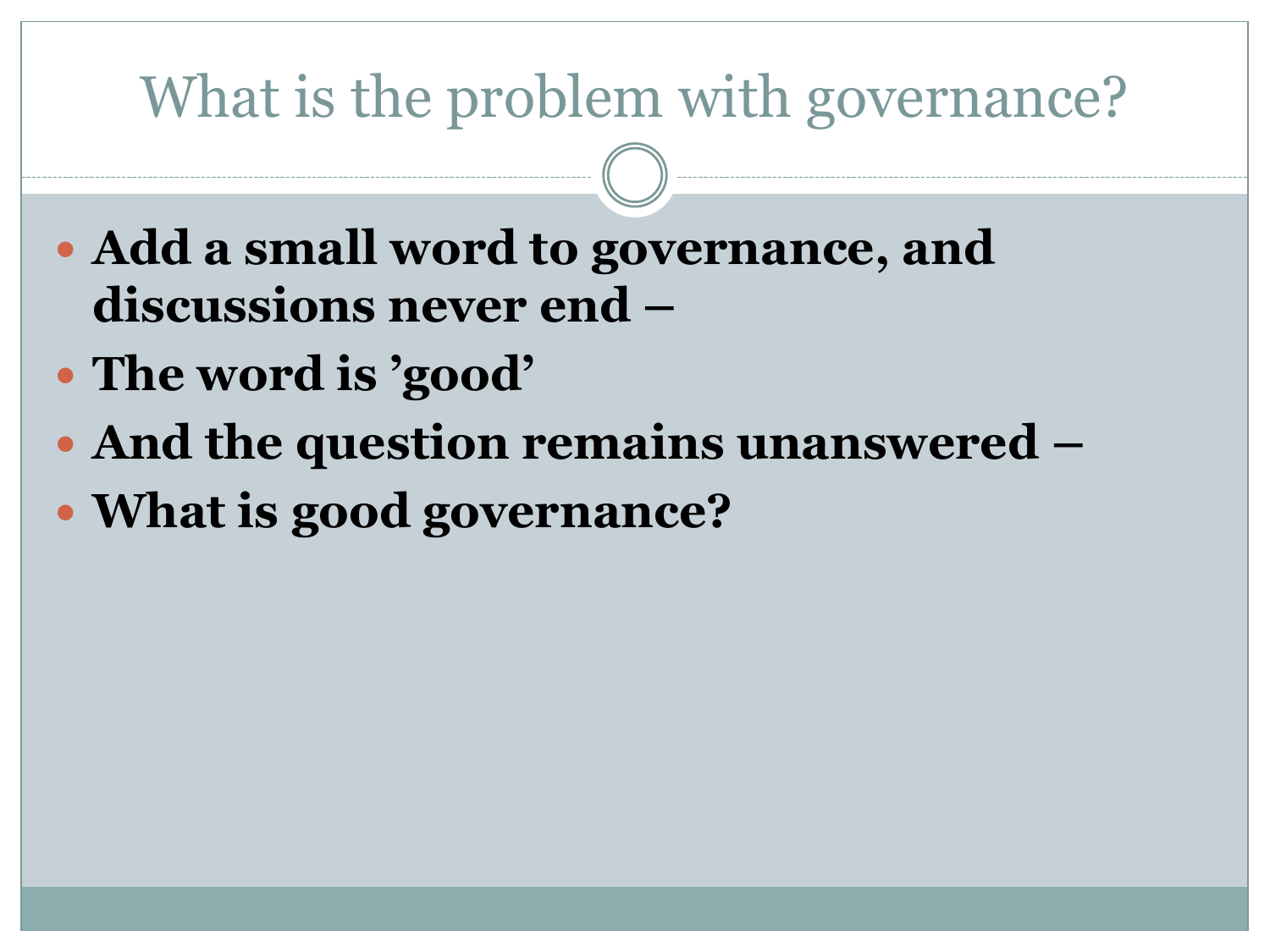# What is the problem with governance?

- **Add a small word to governance, and discussions never end –**
- **The word is "good"**
- **And the question remains unanswered –**
- **What is good governance?**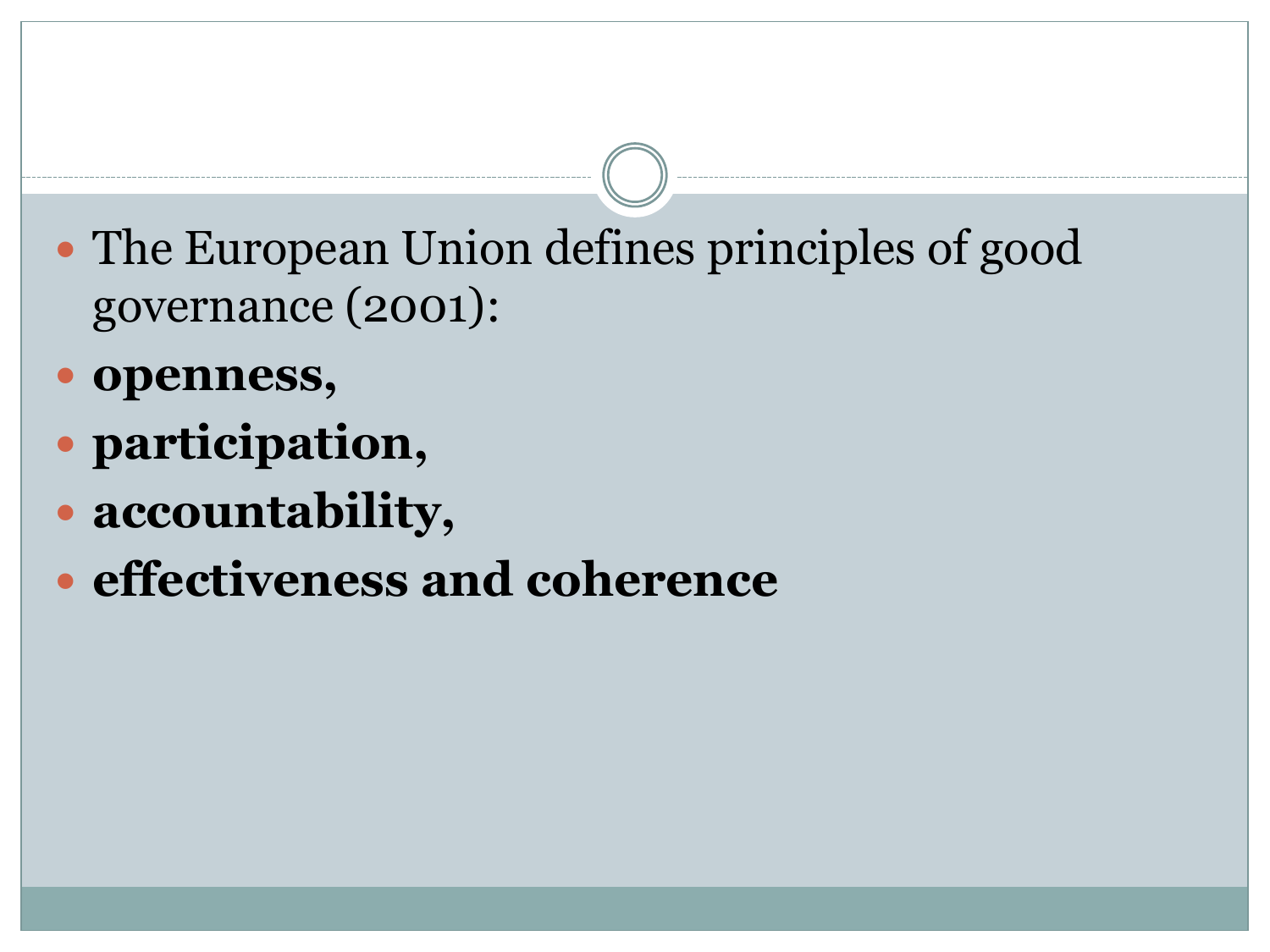- The European Union defines principles of good governance (2001):
- **openness,**
- **participation,**
- **accountability,**
- **effectiveness and coherence**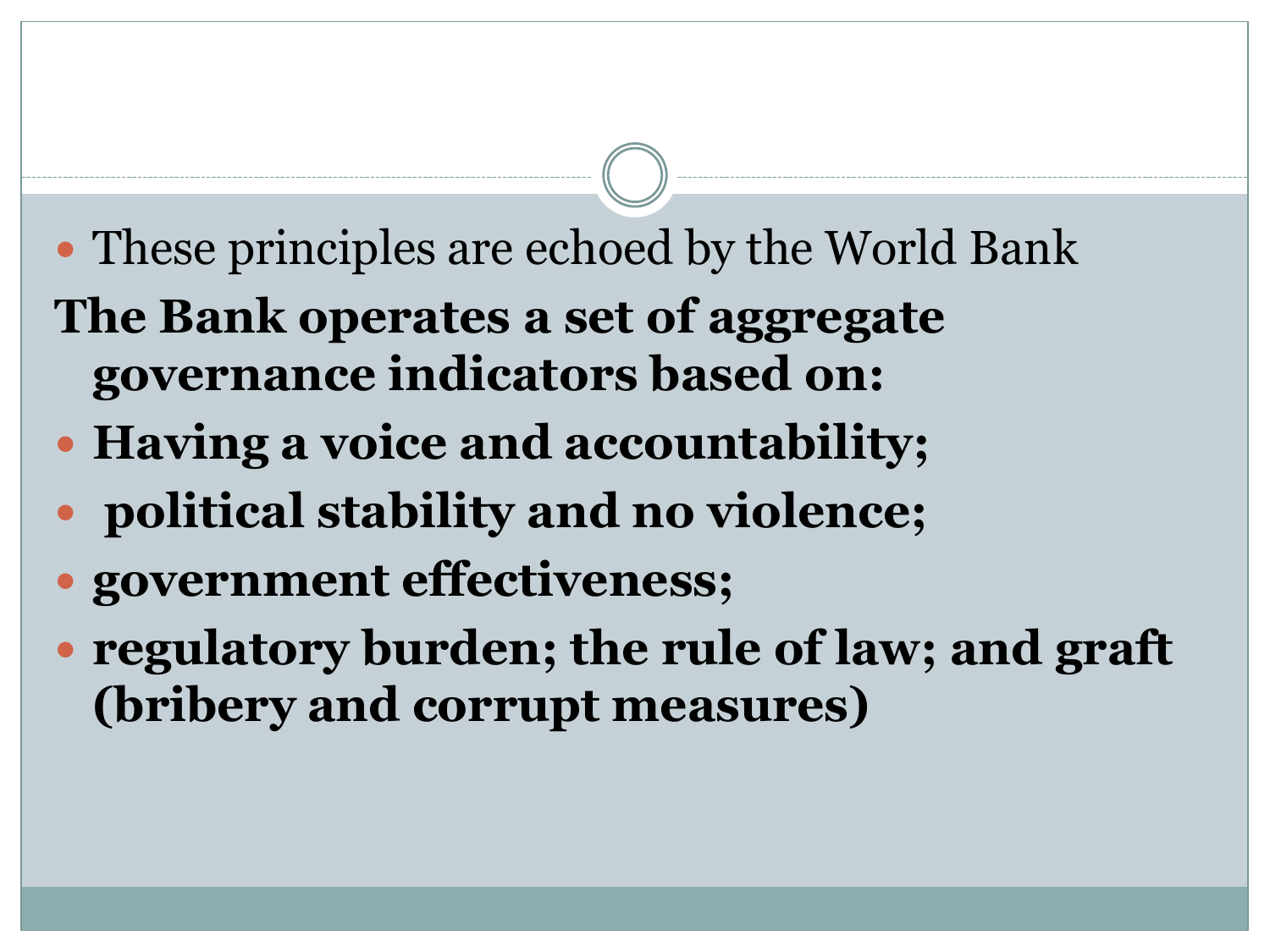- These principles are echoed by the World Bank **The Bank operates a set of aggregate**
- **governance indicators based on:**
- **Having a voice and accountability;**
- **political stability and no violence;**
- **government effectiveness;**
- **regulatory burden; the rule of law; and graft (bribery and corrupt measures)**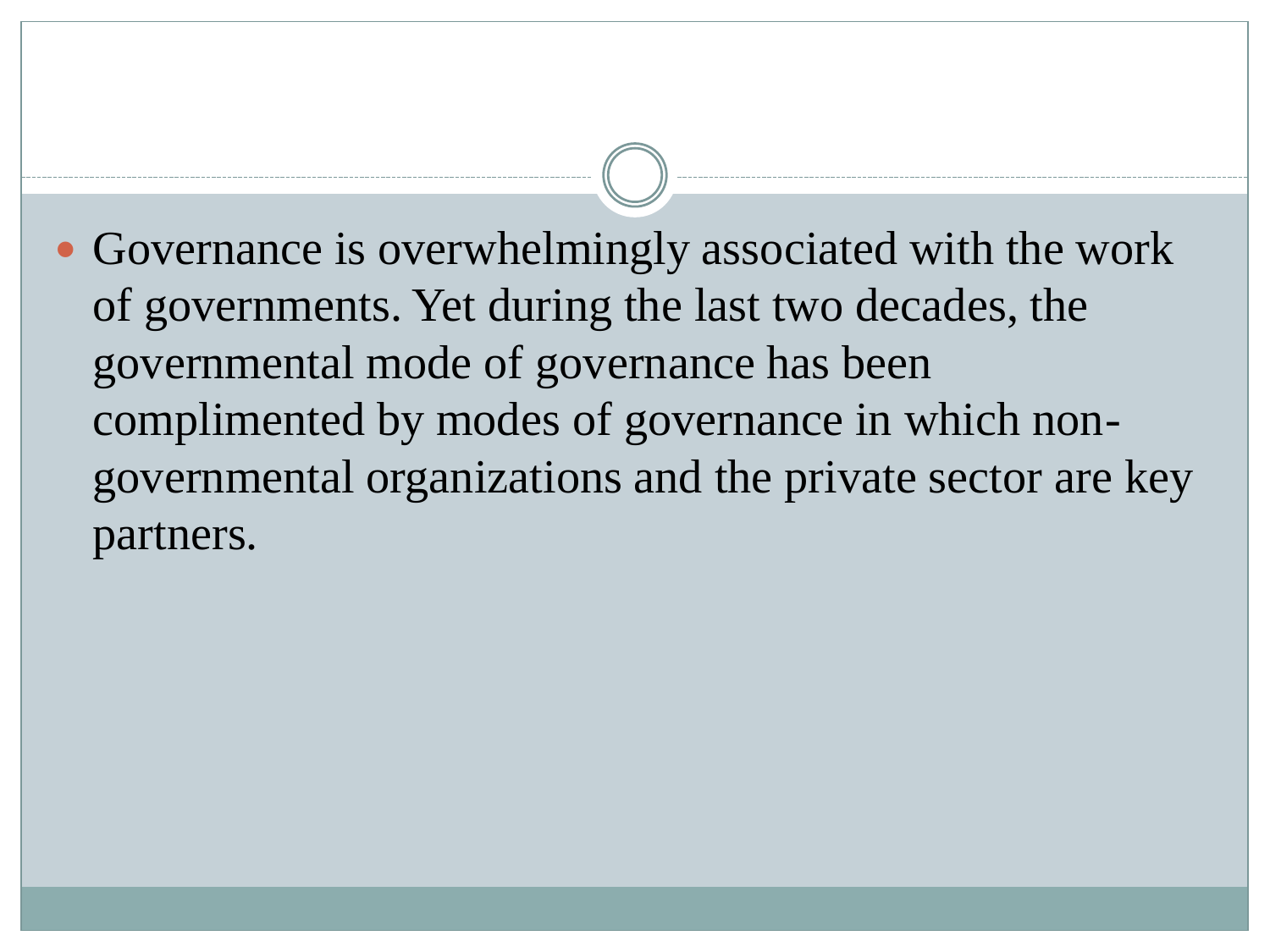• Governance is overwhelmingly associated with the work of governments. Yet during the last two decades, the governmental mode of governance has been complimented by modes of governance in which nongovernmental organizations and the private sector are key partners.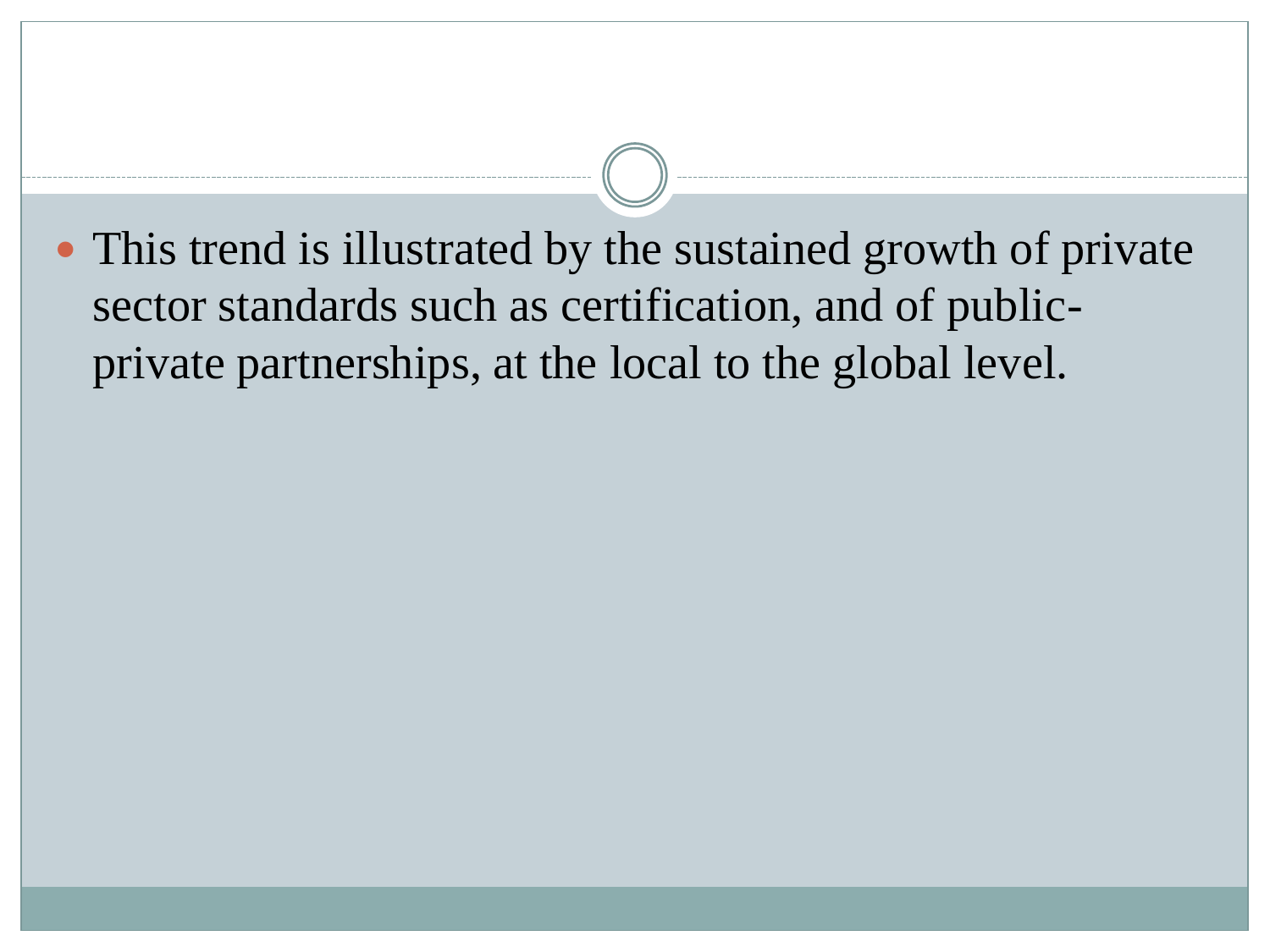• This trend is illustrated by the sustained growth of private sector standards such as certification, and of publicprivate partnerships, at the local to the global level.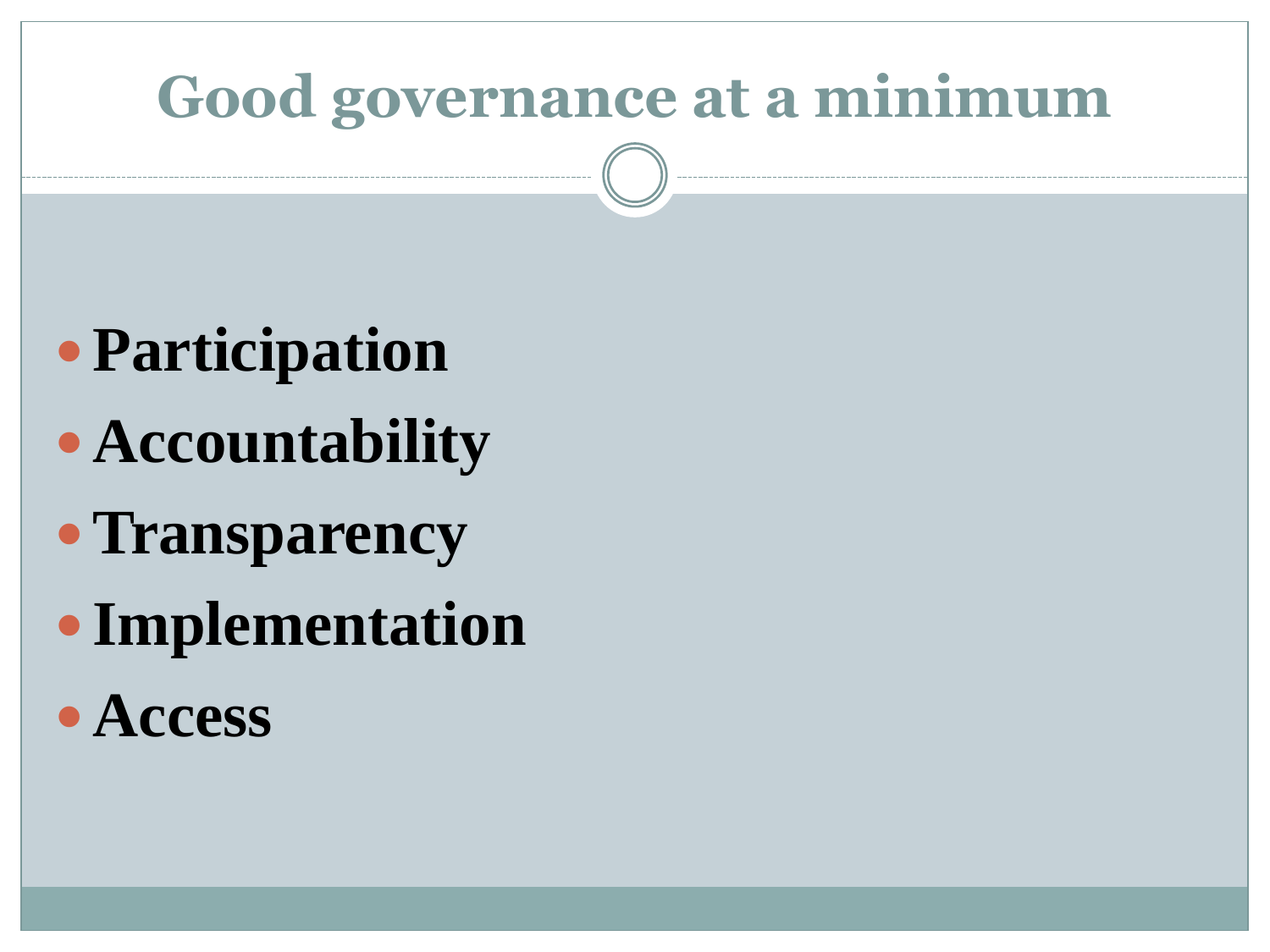# **Good governance at a minimum**

- **Participation**
- **Accountability**
- **Transparency**
- **Implementation**
- **Access**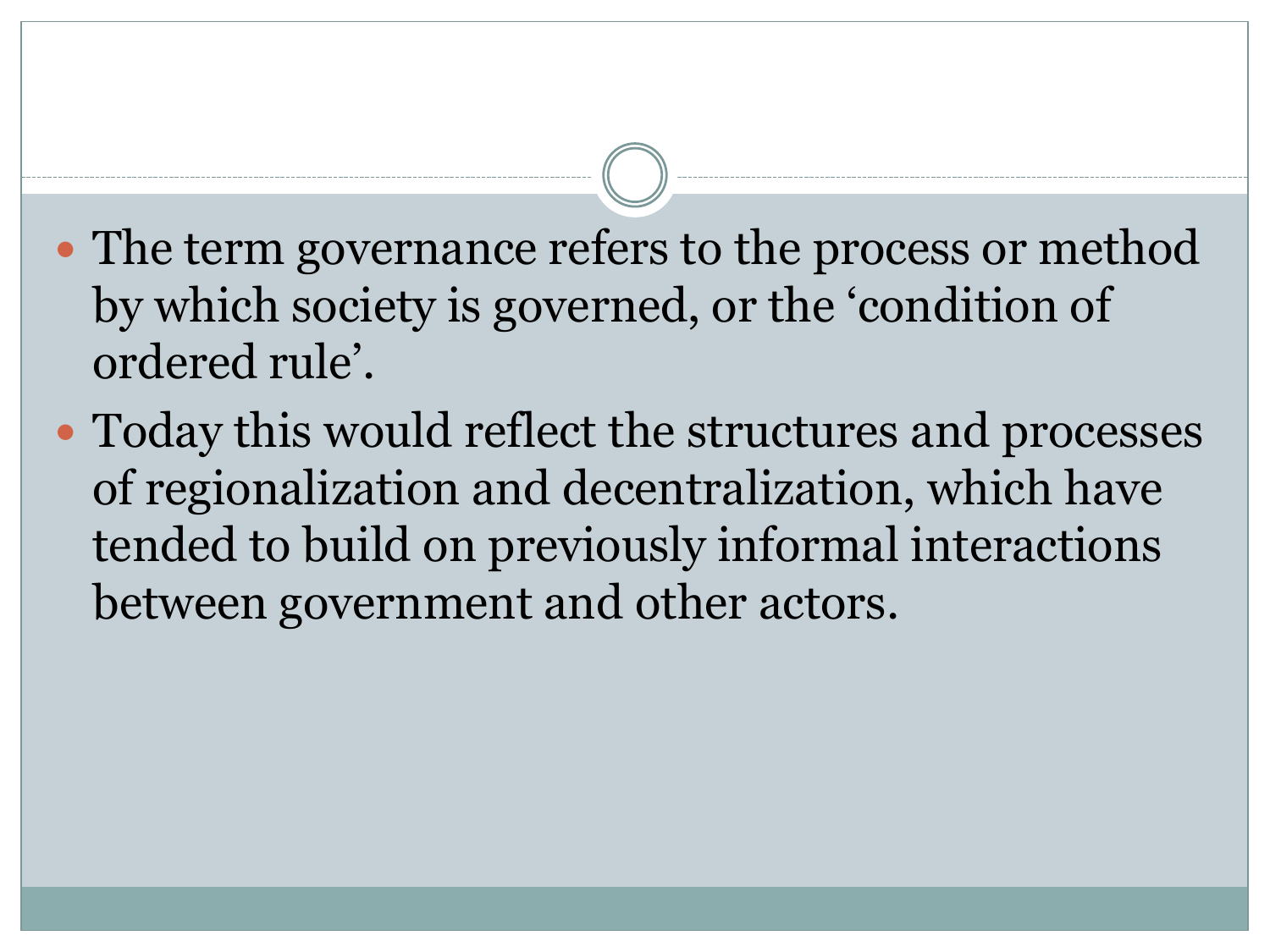- The term governance refers to the process or method by which society is governed, or the 'condition of ordered rule'.
- Today this would reflect the structures and processes of regionalization and decentralization, which have tended to build on previously informal interactions between government and other actors.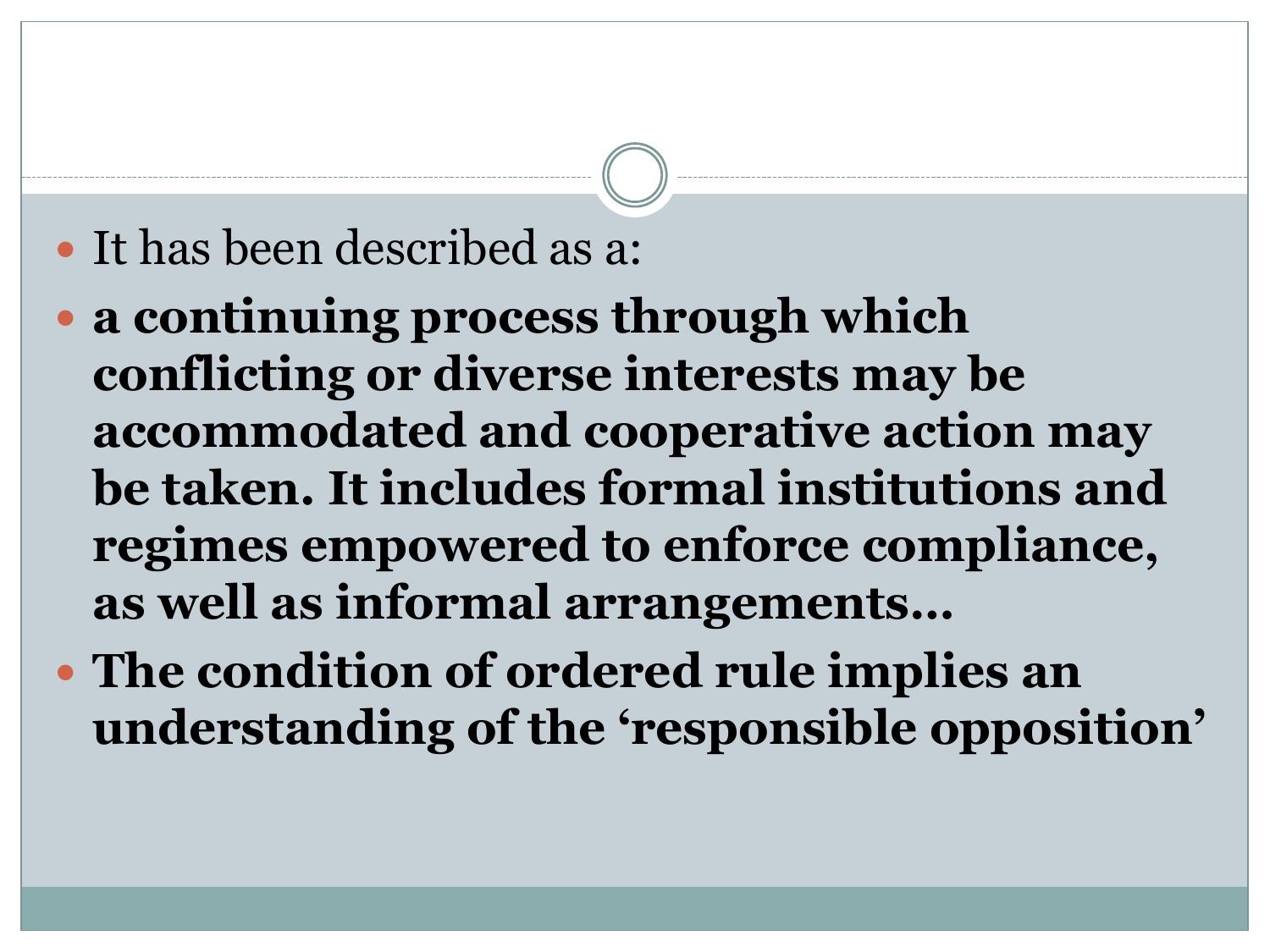#### It has been described as a:

- **a continuing process through which conflicting or diverse interests may be accommodated and cooperative action may be taken. It includes formal institutions and regimes empowered to enforce compliance, as well as informal arrangements…**
- **The condition of ordered rule implies an understanding of the "responsible opposition"**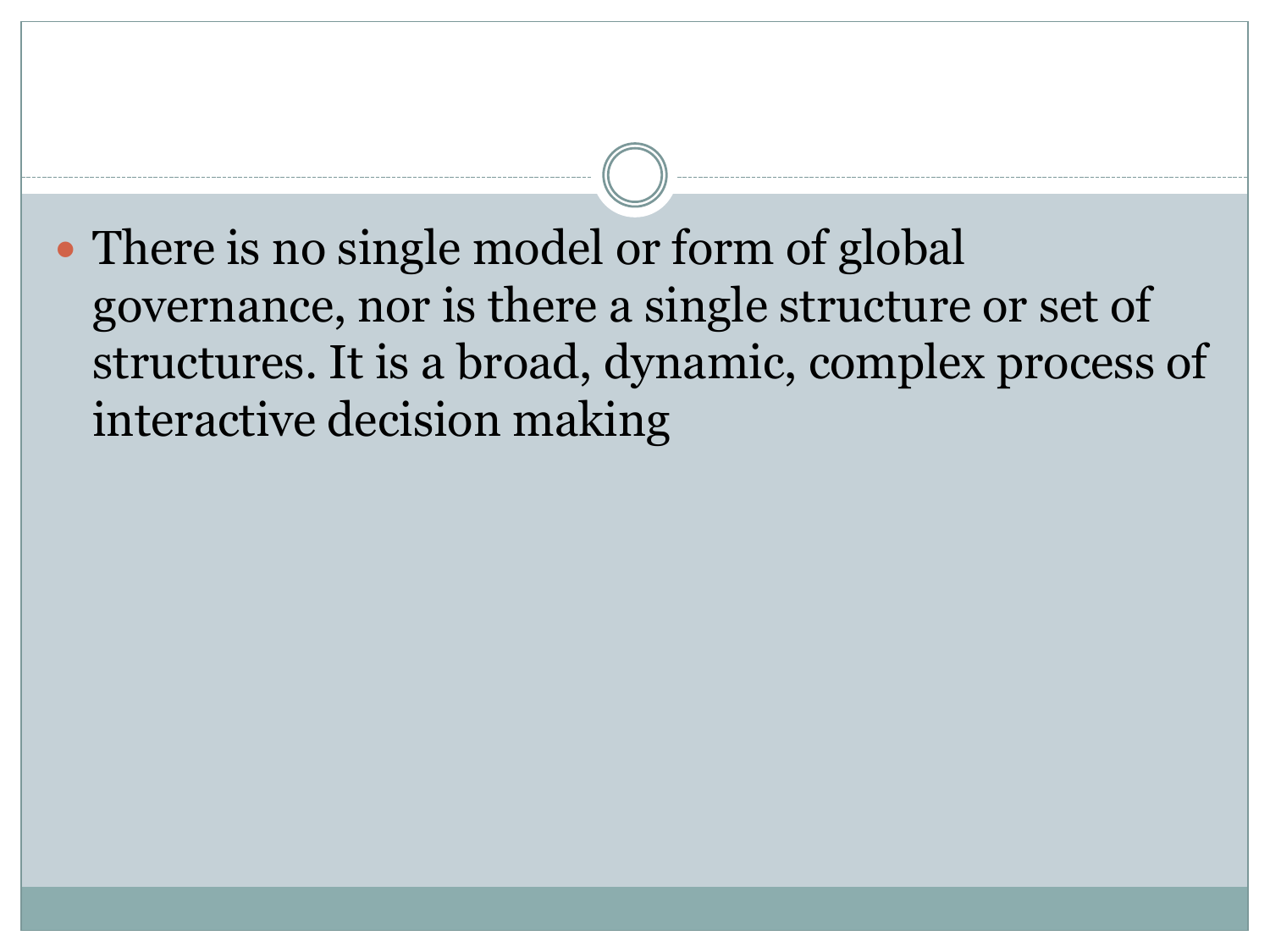• There is no single model or form of global governance, nor is there a single structure or set of structures. It is a broad, dynamic, complex process of interactive decision making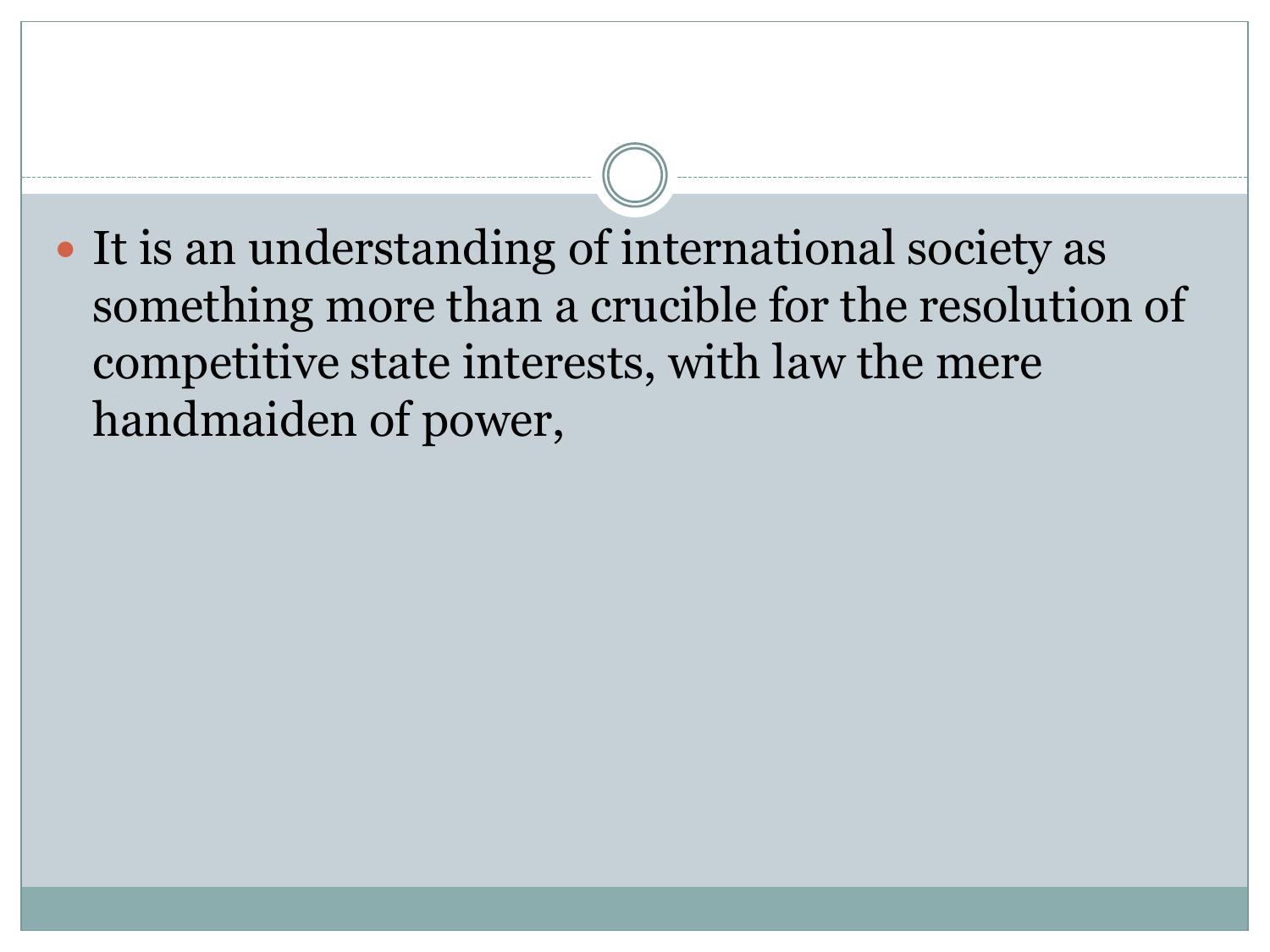It is an understanding of international society as something more than a crucible for the resolution of competitive state interests, with law the mere handmaiden of power,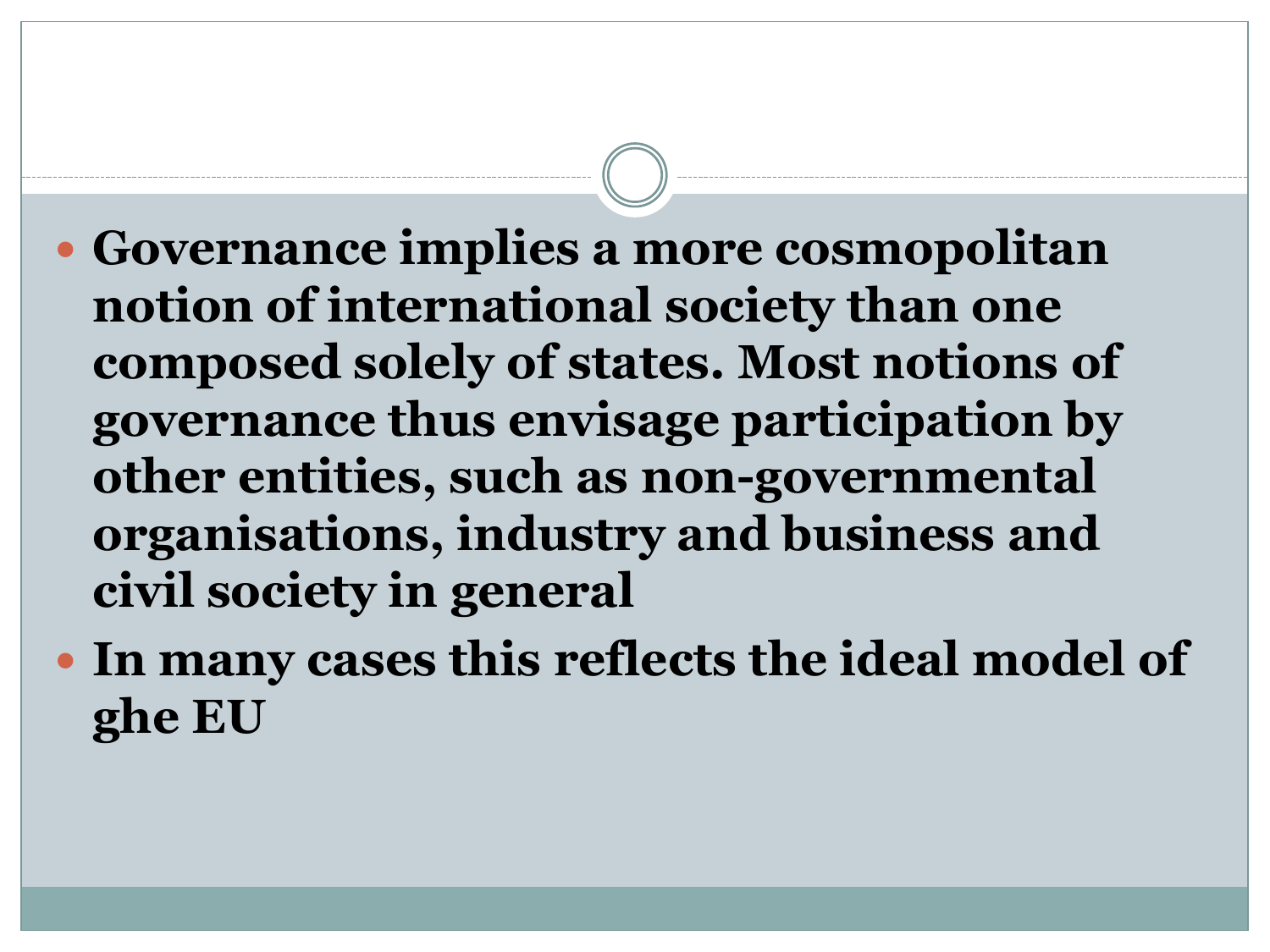- **Governance implies a more cosmopolitan notion of international society than one composed solely of states. Most notions of governance thus envisage participation by other entities, such as non-governmental organisations, industry and business and civil society in general**
- **In many cases this reflects the ideal model of ghe EU**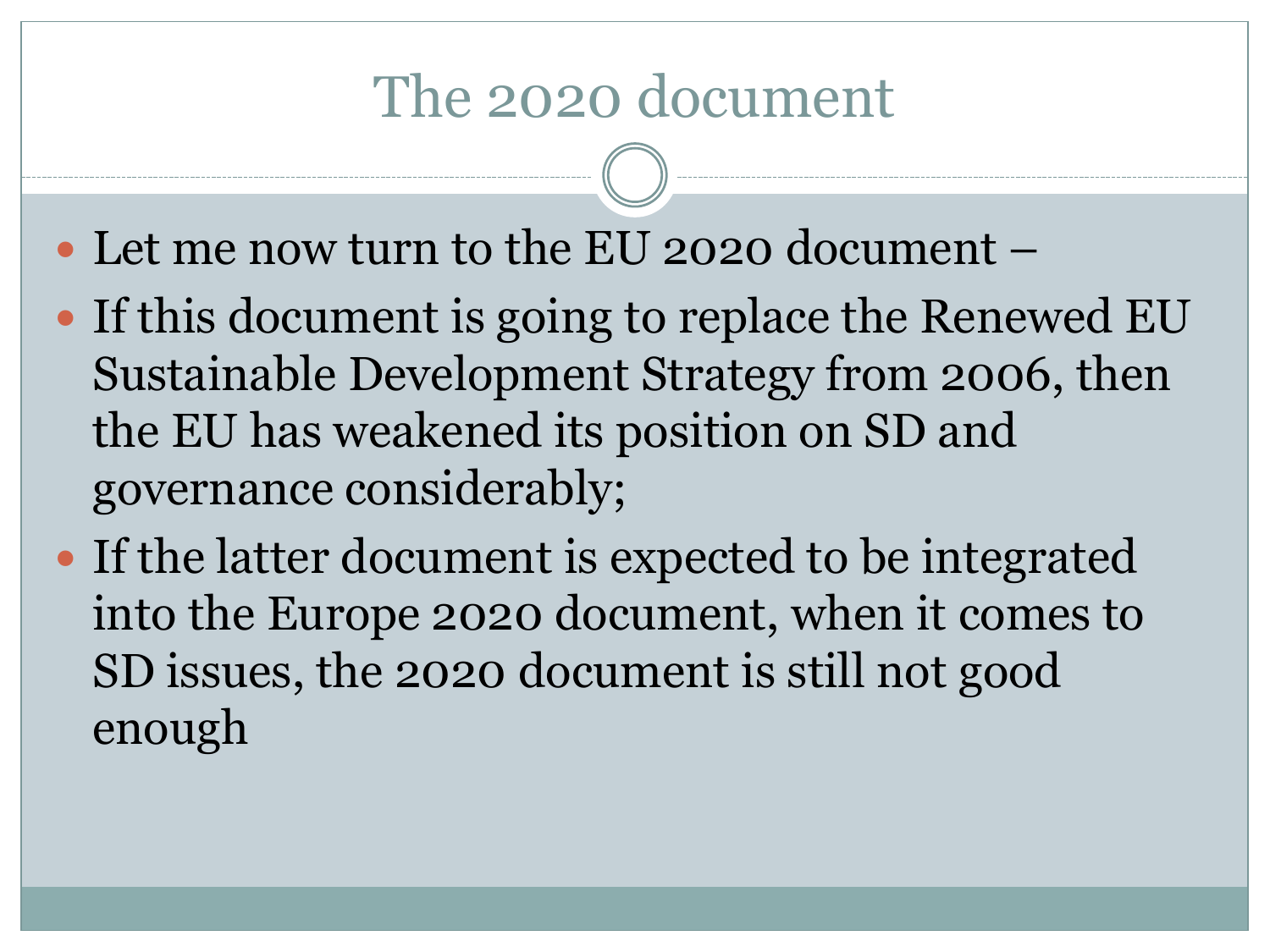#### The 2020 document

- Let me now turn to the EU 2020 document –
- If this document is going to replace the Renewed EU Sustainable Development Strategy from 2006, then the EU has weakened its position on SD and governance considerably;
- If the latter document is expected to be integrated into the Europe 2020 document, when it comes to SD issues, the 2020 document is still not good enough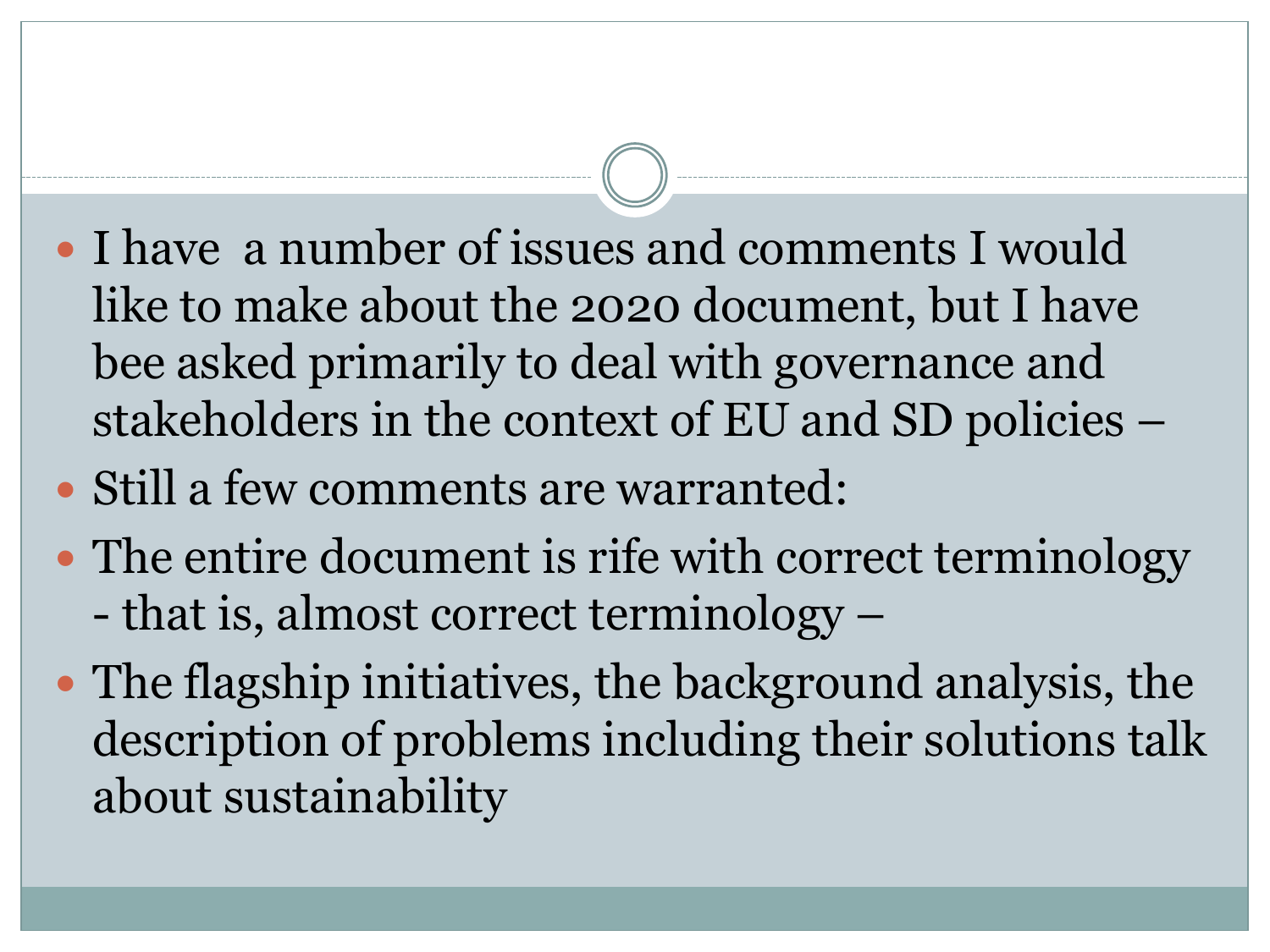- I have a number of issues and comments I would like to make about the 2020 document, but I have bee asked primarily to deal with governance and stakeholders in the context of EU and SD policies –
- Still a few comments are warranted:
- The entire document is rife with correct terminology - that is, almost correct terminology –
- The flagship initiatives, the background analysis, the description of problems including their solutions talk about sustainability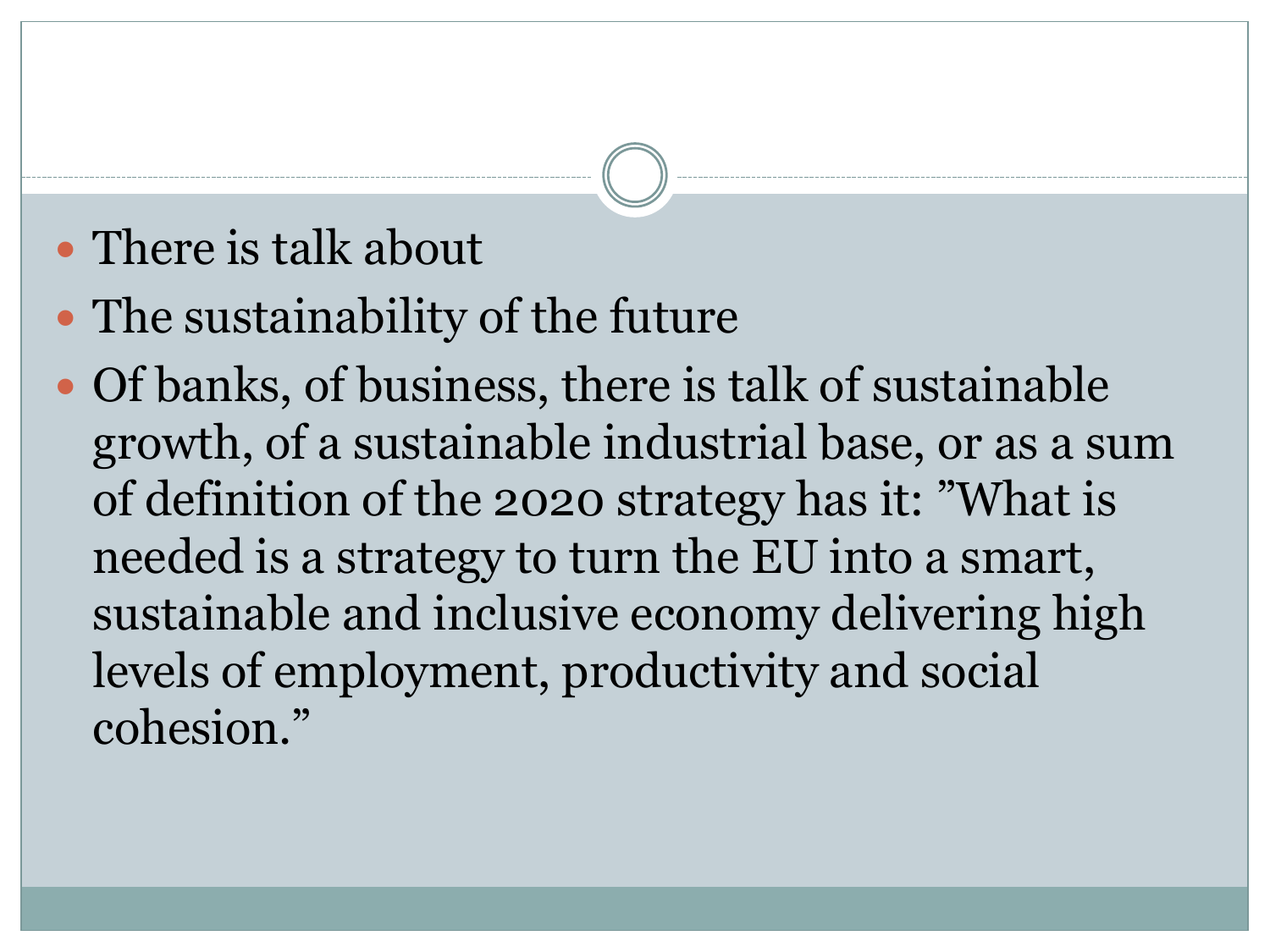#### • There is talk about

- The sustainability of the future
- Of banks, of business, there is talk of sustainable growth, of a sustainable industrial base, or as a sum of definition of the 2020 strategy has it: "What is needed is a strategy to turn the EU into a smart, sustainable and inclusive economy delivering high levels of employment, productivity and social cohesion."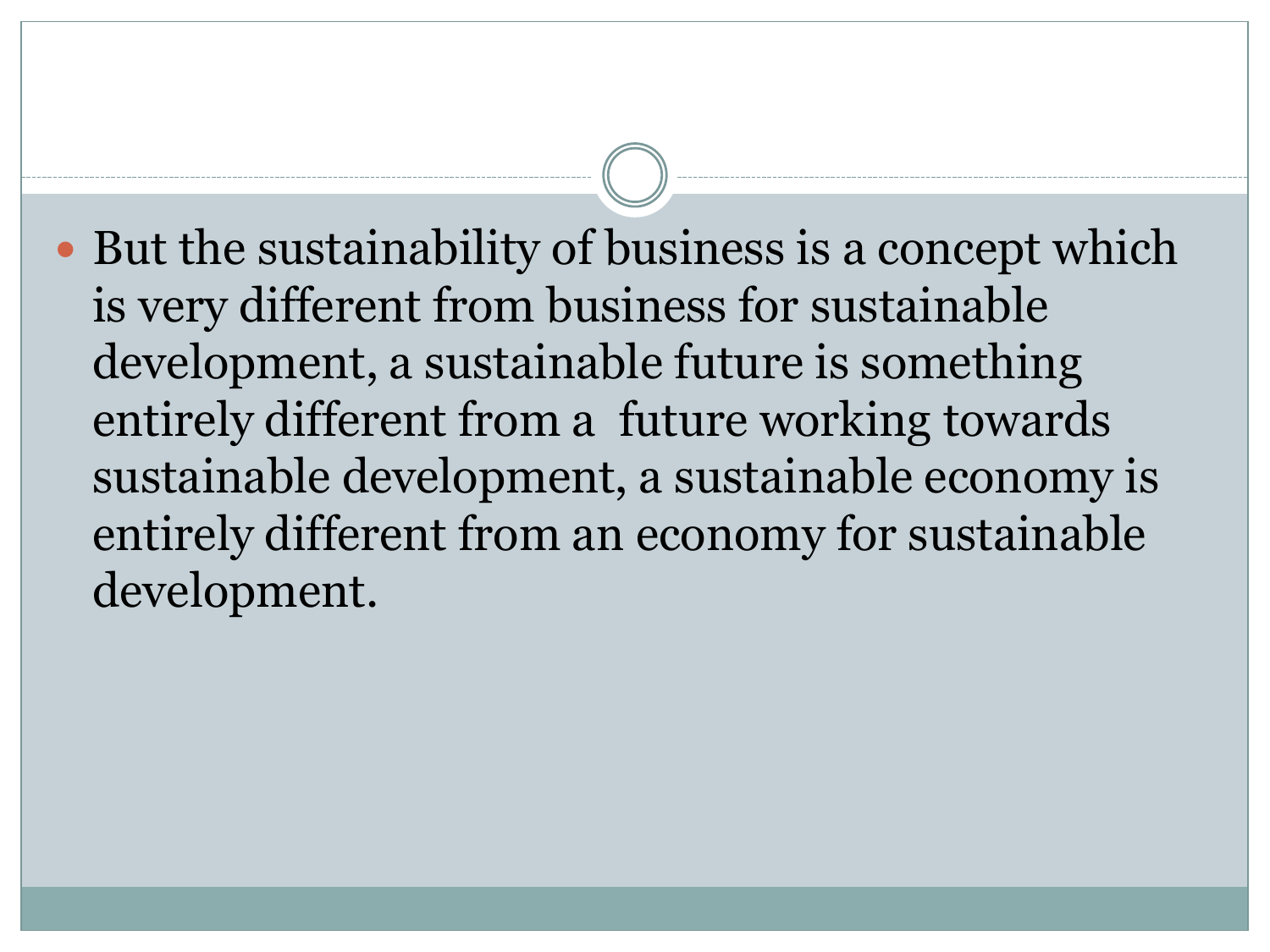• But the sustainability of business is a concept which is very different from business for sustainable development, a sustainable future is something entirely different from a future working towards sustainable development, a sustainable economy is entirely different from an economy for sustainable development.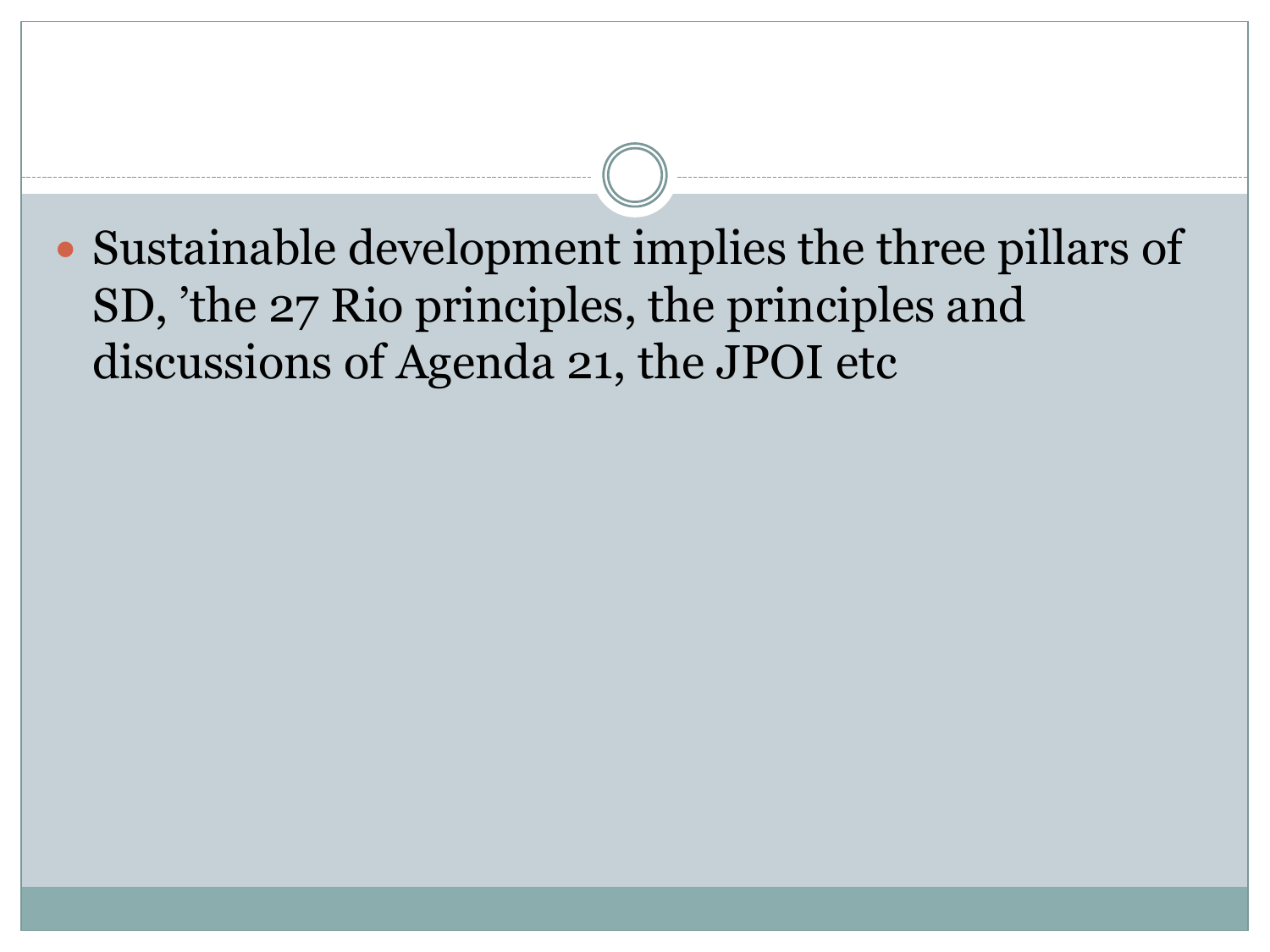Sustainable development implies the three pillars of SD, 'the 27 Rio principles, the principles and discussions of Agenda 21, the JPOI etc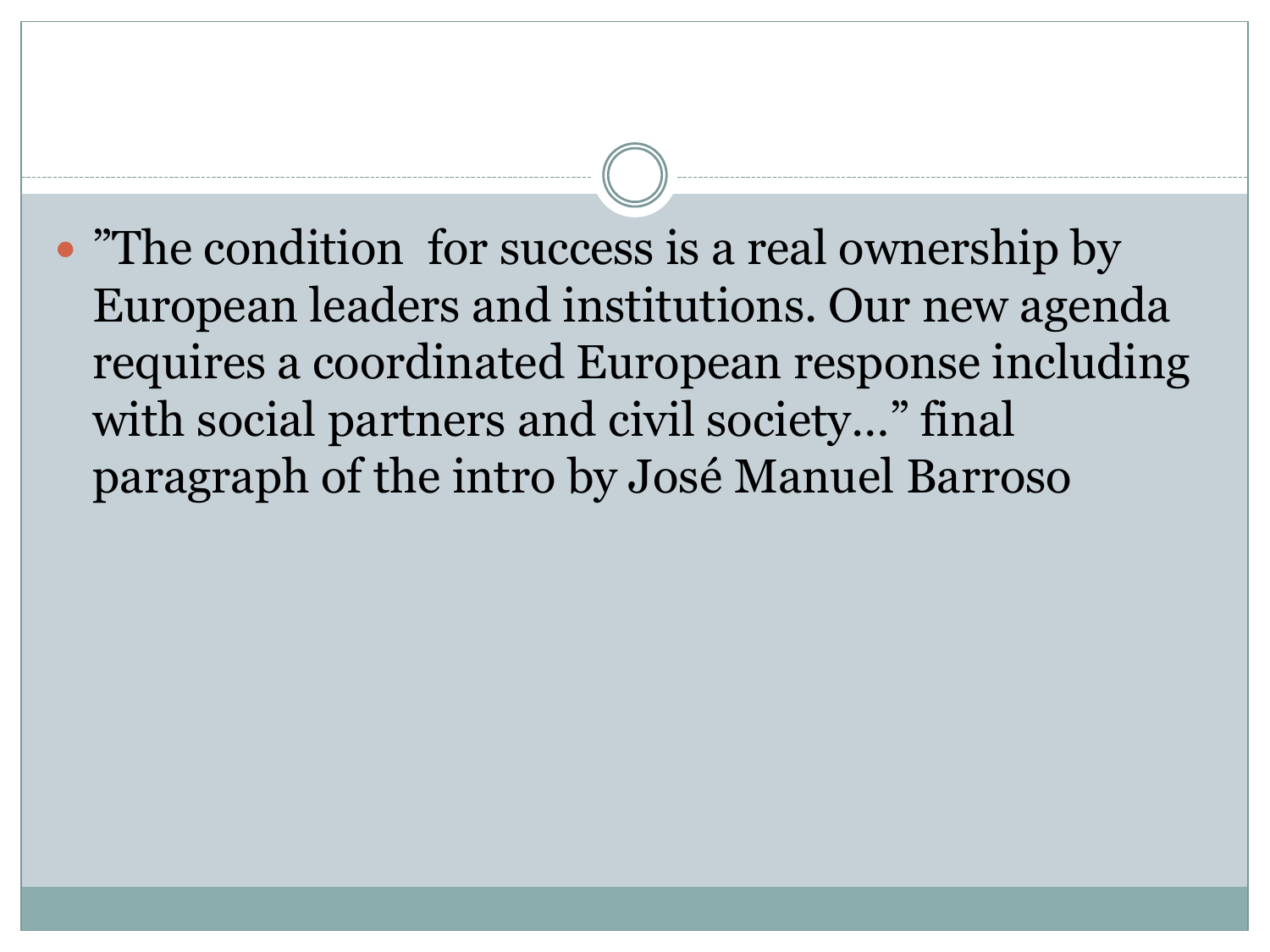• "The condition for success is a real ownership by European leaders and institutions. Our new agenda requires a coordinated European response including with social partners and civil society…" final paragraph of the intro by José Manuel Barroso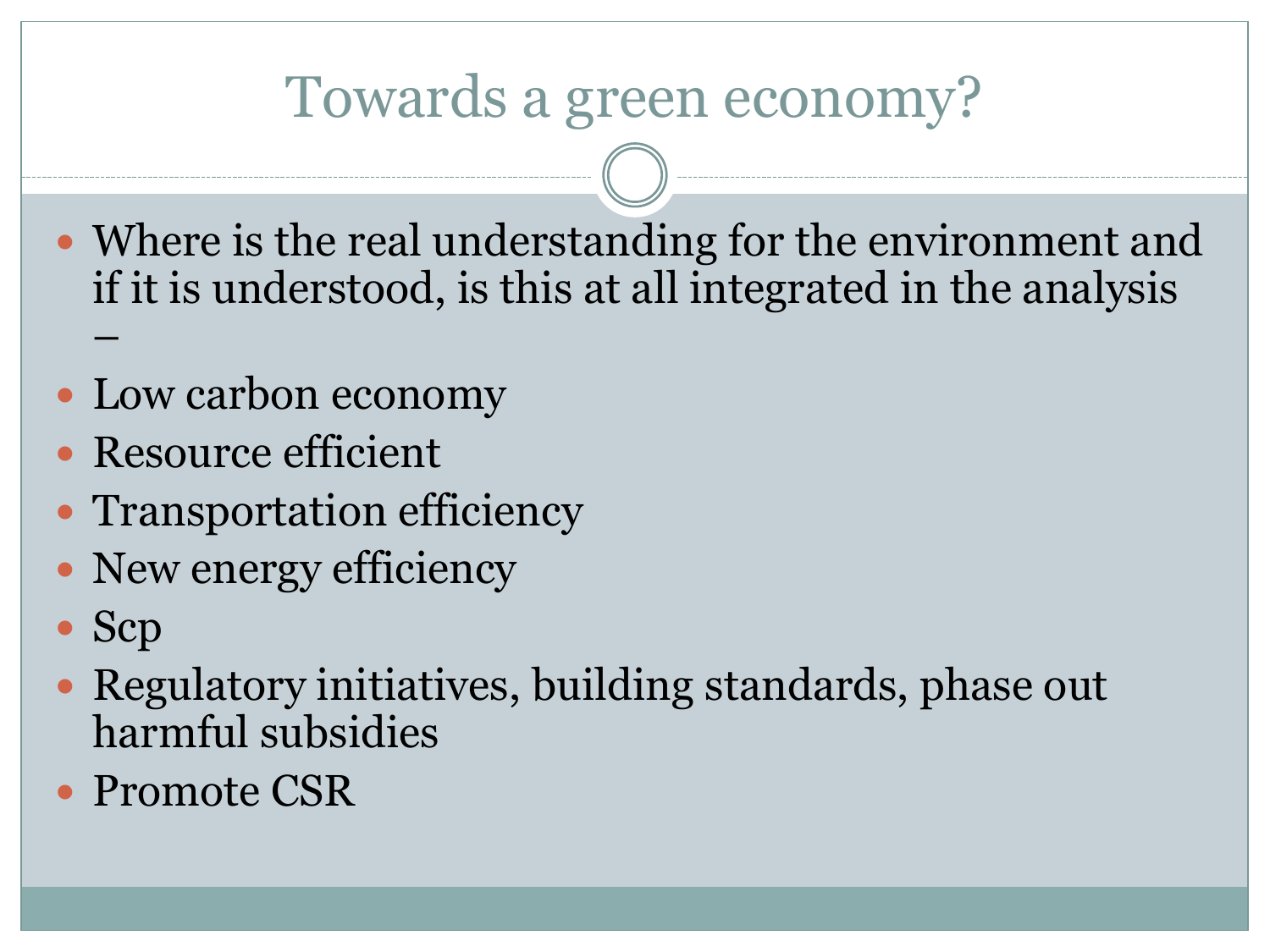#### Towards a green economy?

- Where is the real understanding for the environment and if it is understood, is this at all integrated in the analysis –
- Low carbon economy
- Resource efficient
- Transportation efficiency
- New energy efficiency
- Scp
- Regulatory initiatives, building standards, phase out harmful subsidies
- Promote CSR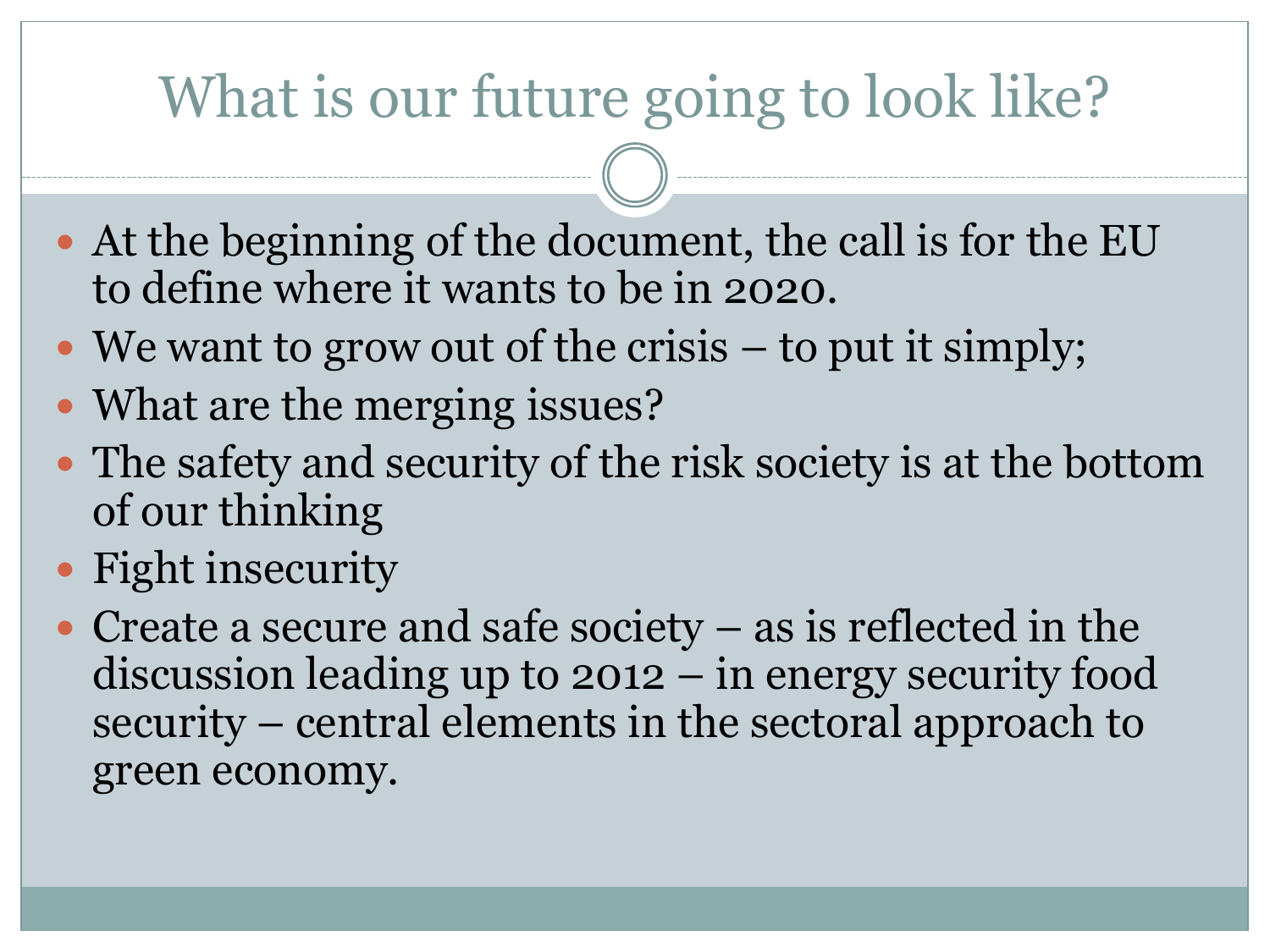# What is our future going to look like?

- At the beginning of the document, the call is for the EU to define where it wants to be in 2020.
- We want to grow out of the crisis to put it simply;
- What are the merging issues?
- The safety and security of the risk society is at the bottom of our thinking
- Fight insecurity
- Create a secure and safe society as is reflected in the discussion leading up to 2012 – in energy security food security – central elements in the sectoral approach to green economy.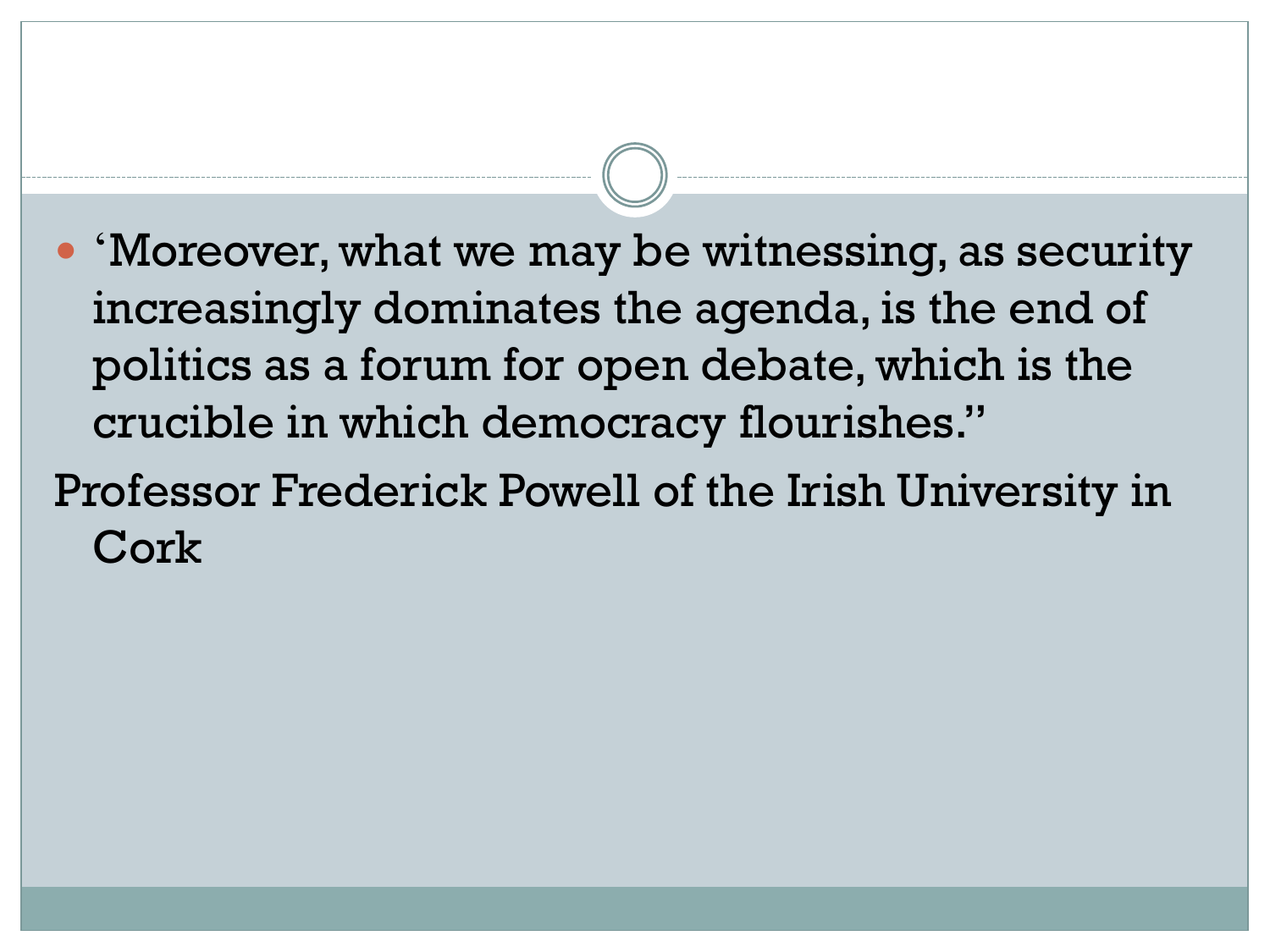- 'Moreover, what we may be witnessing, as security increasingly dominates the agenda, is the end of politics as a forum for open debate, which is the crucible in which democracy flourishes."
- Professor Frederick Powell of the Irish University in Cork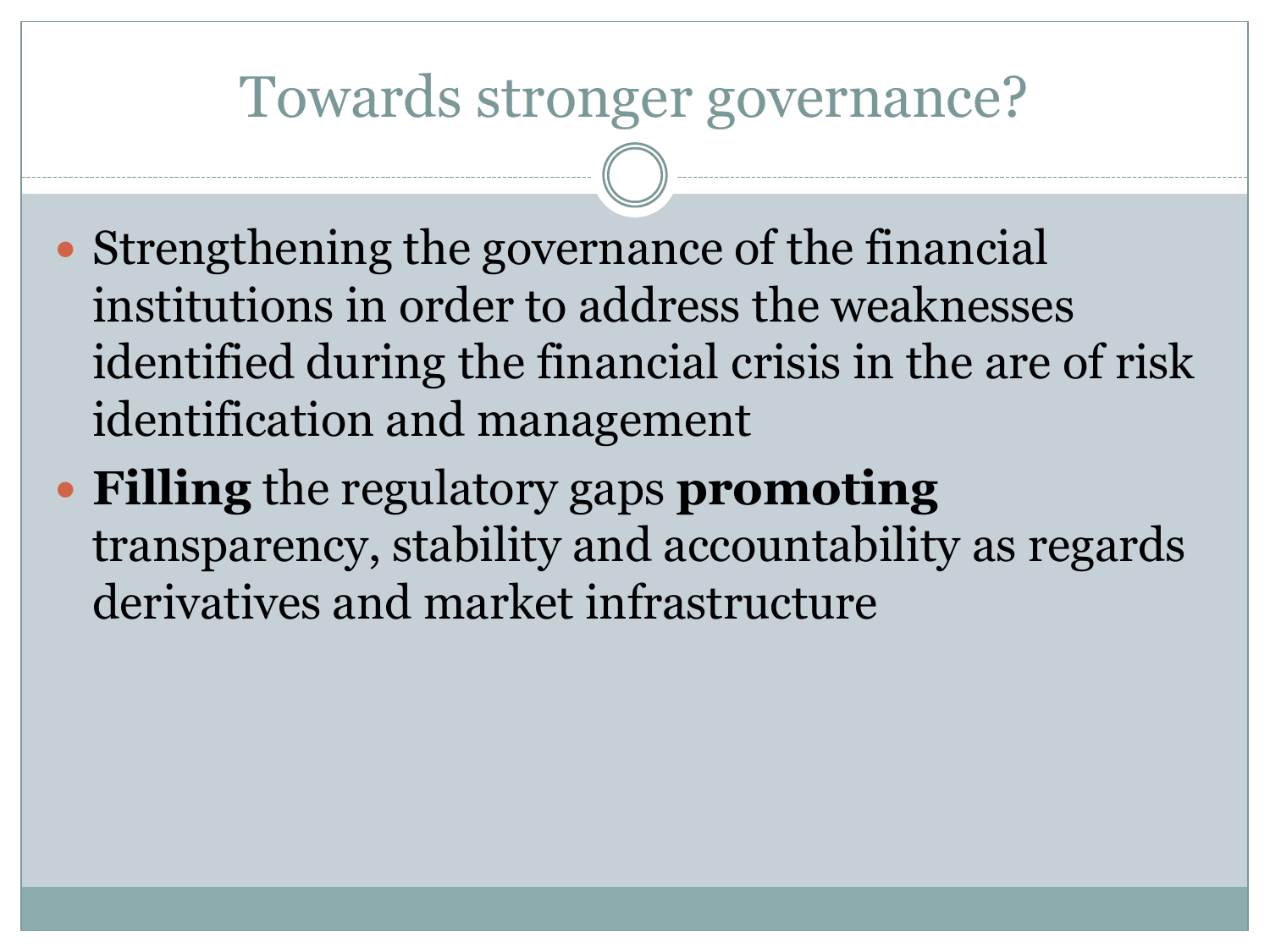#### Towards stronger governance?

- Strengthening the governance of the financial institutions in order to address the weaknesses identified during the financial crisis in the are of risk identification and management
- **Filling** the regulatory gaps **promoting** transparency, stability and accountability as regards derivatives and market infrastructure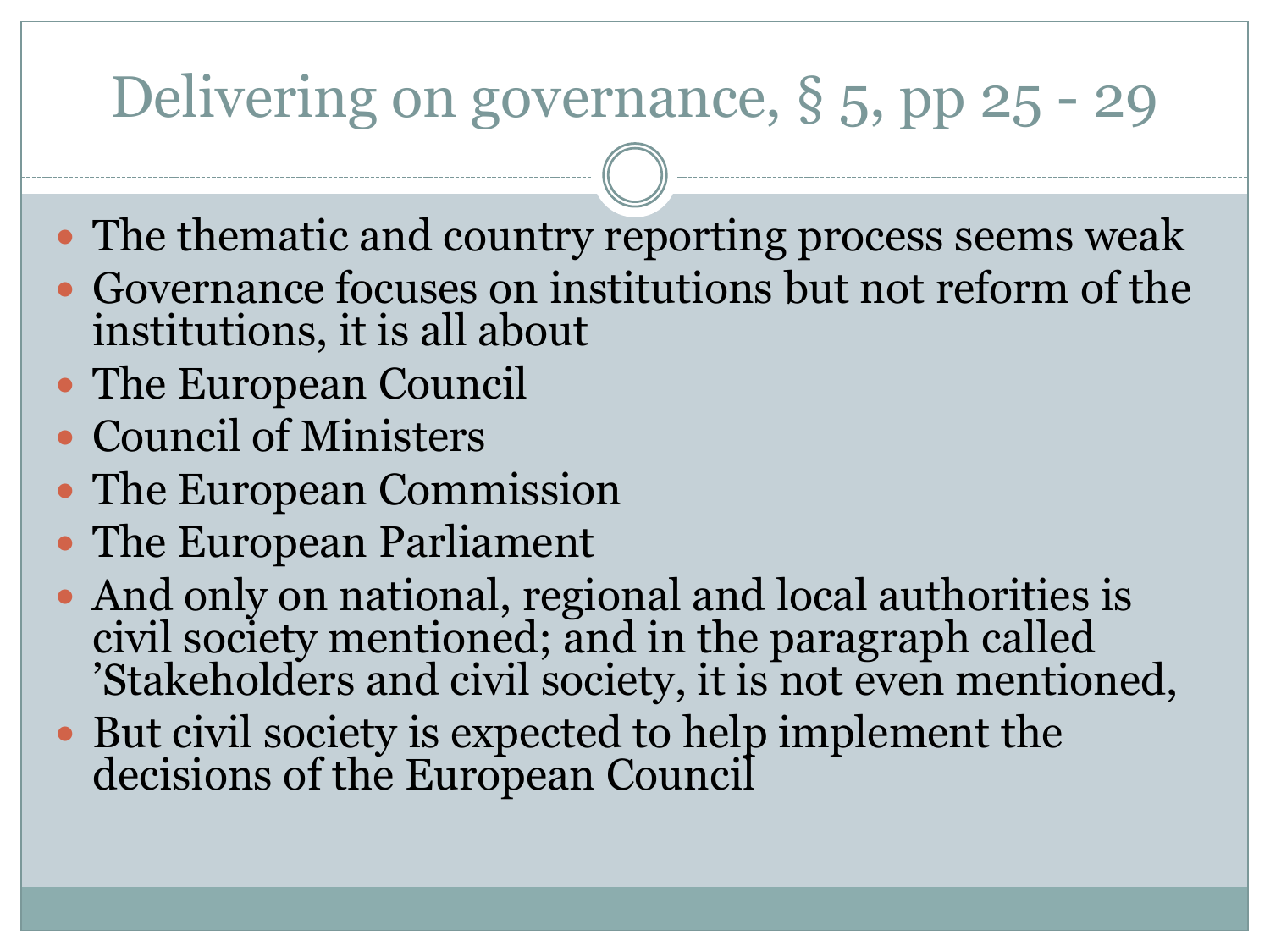# Delivering on governance, § 5, pp 25 - 29

- The thematic and country reporting process seems weak
- Governance focuses on institutions but not reform of the institutions, it is all about
- The European Council
- Council of Ministers
- The European Commission
- The European Parliament
- And only on national, regional and local authorities is civil society mentioned; and in the paragraph called 'Stakeholders and civil society, it is not even mentioned,
- But civil society is expected to help implement the decisions of the European Council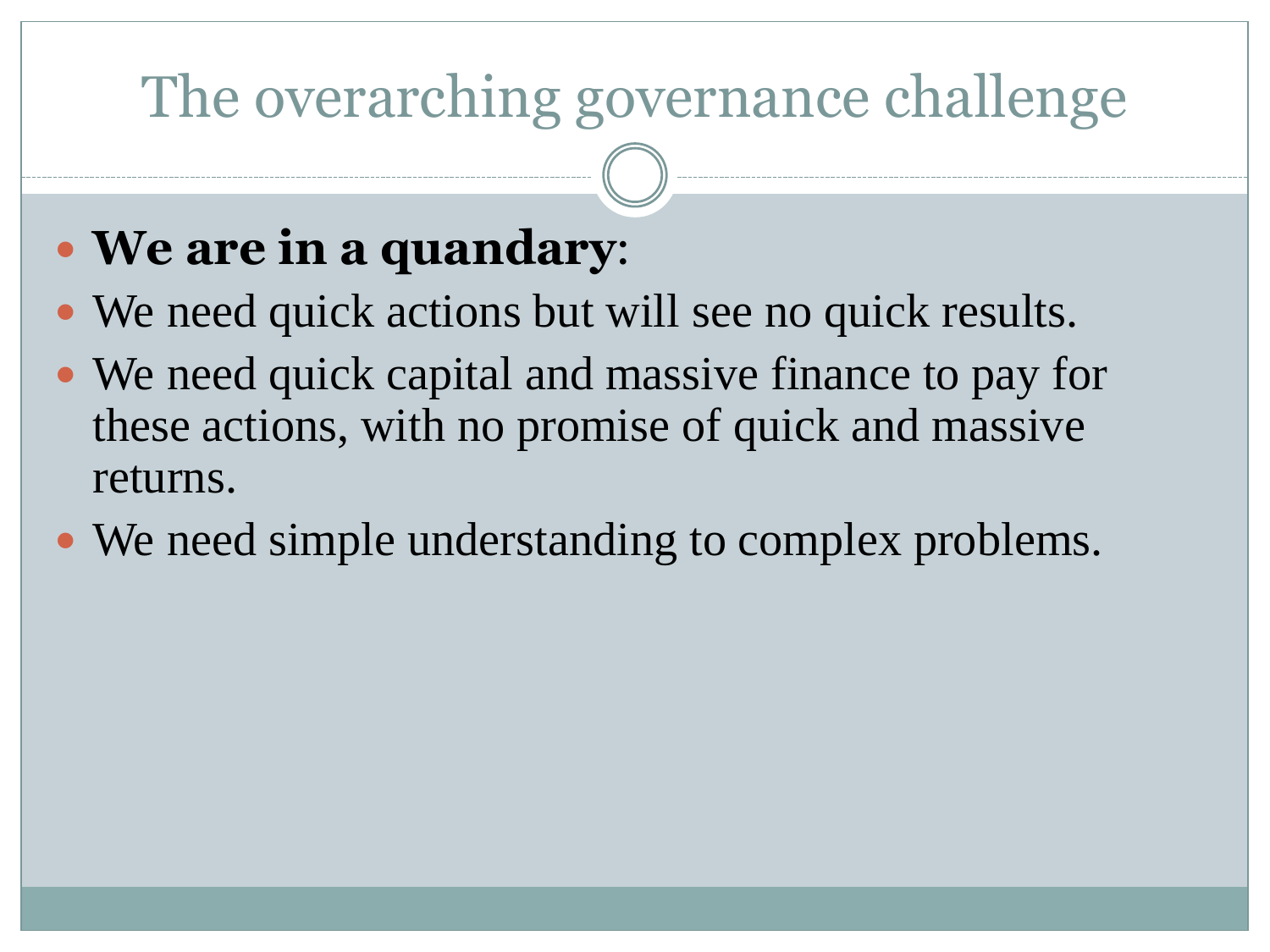# The overarching governance challenge

#### **We are in a quandary**:

- We need quick actions but will see no quick results.
- We need quick capital and massive finance to pay for these actions, with no promise of quick and massive returns.
- We need simple understanding to complex problems.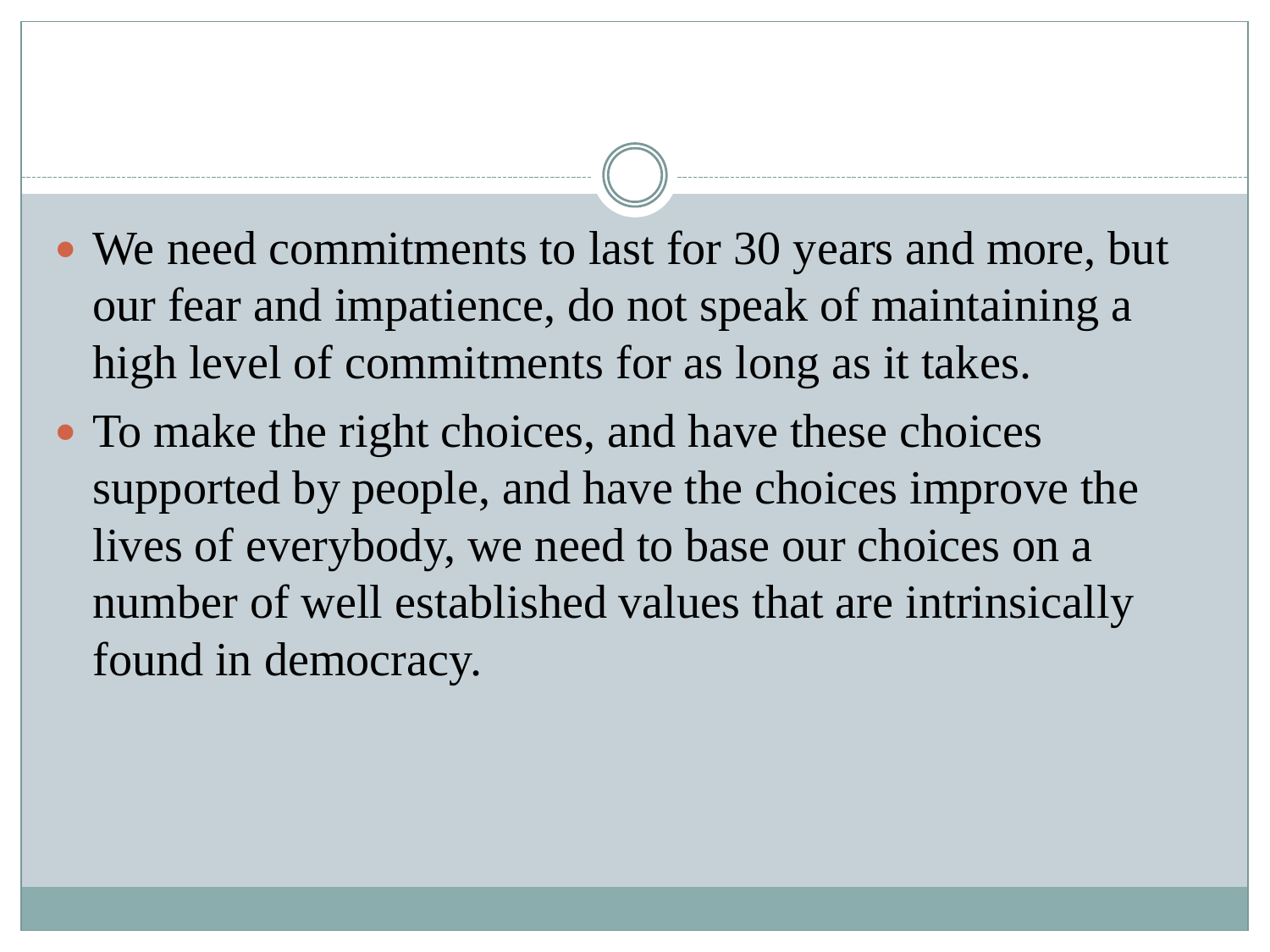- We need commitments to last for 30 years and more, but our fear and impatience, do not speak of maintaining a high level of commitments for as long as it takes.
- To make the right choices, and have these choices supported by people, and have the choices improve the lives of everybody, we need to base our choices on a number of well established values that are intrinsically found in democracy.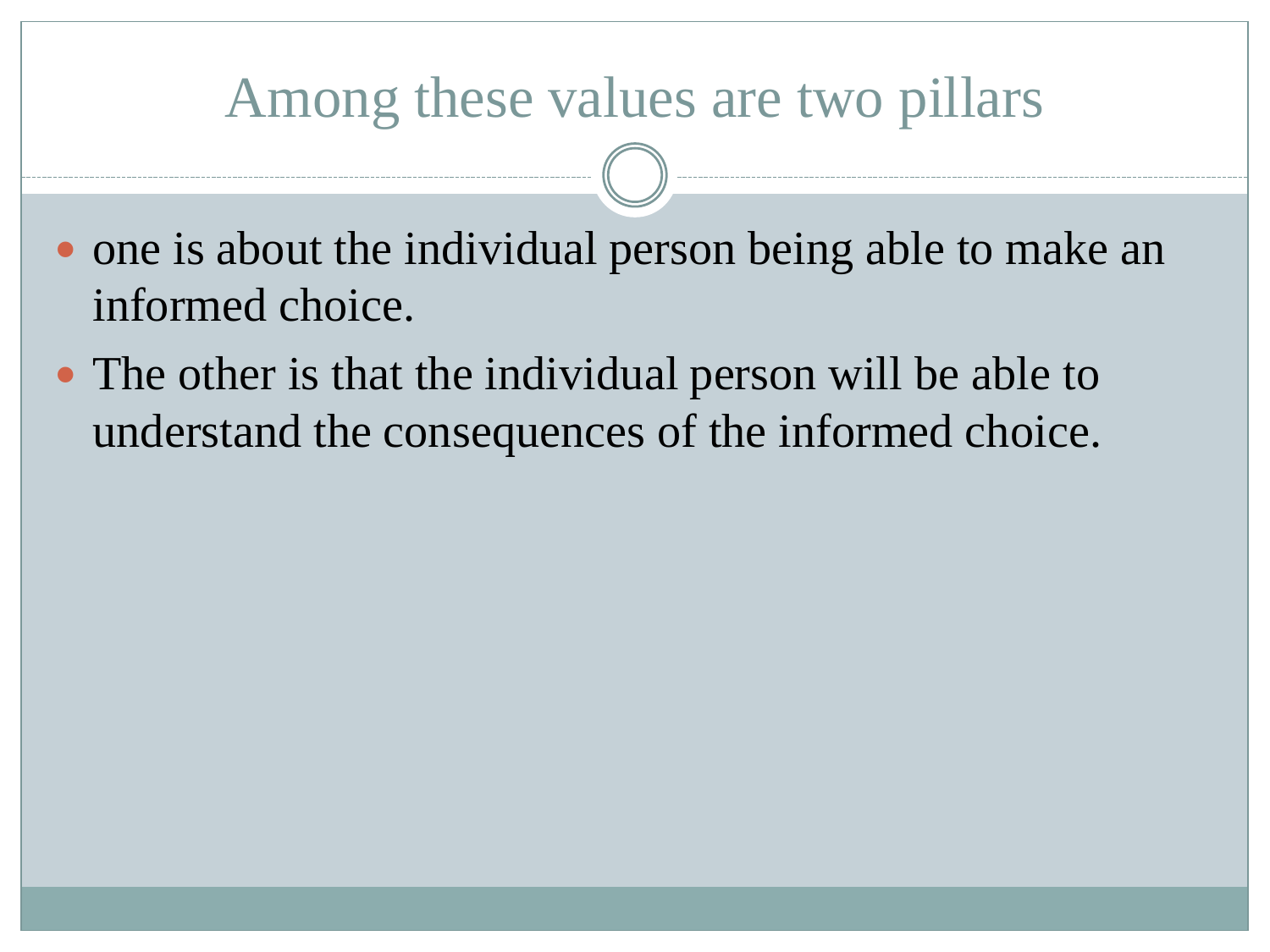#### Among these values are two pillars

- one is about the individual person being able to make an informed choice.
- The other is that the individual person will be able to understand the consequences of the informed choice.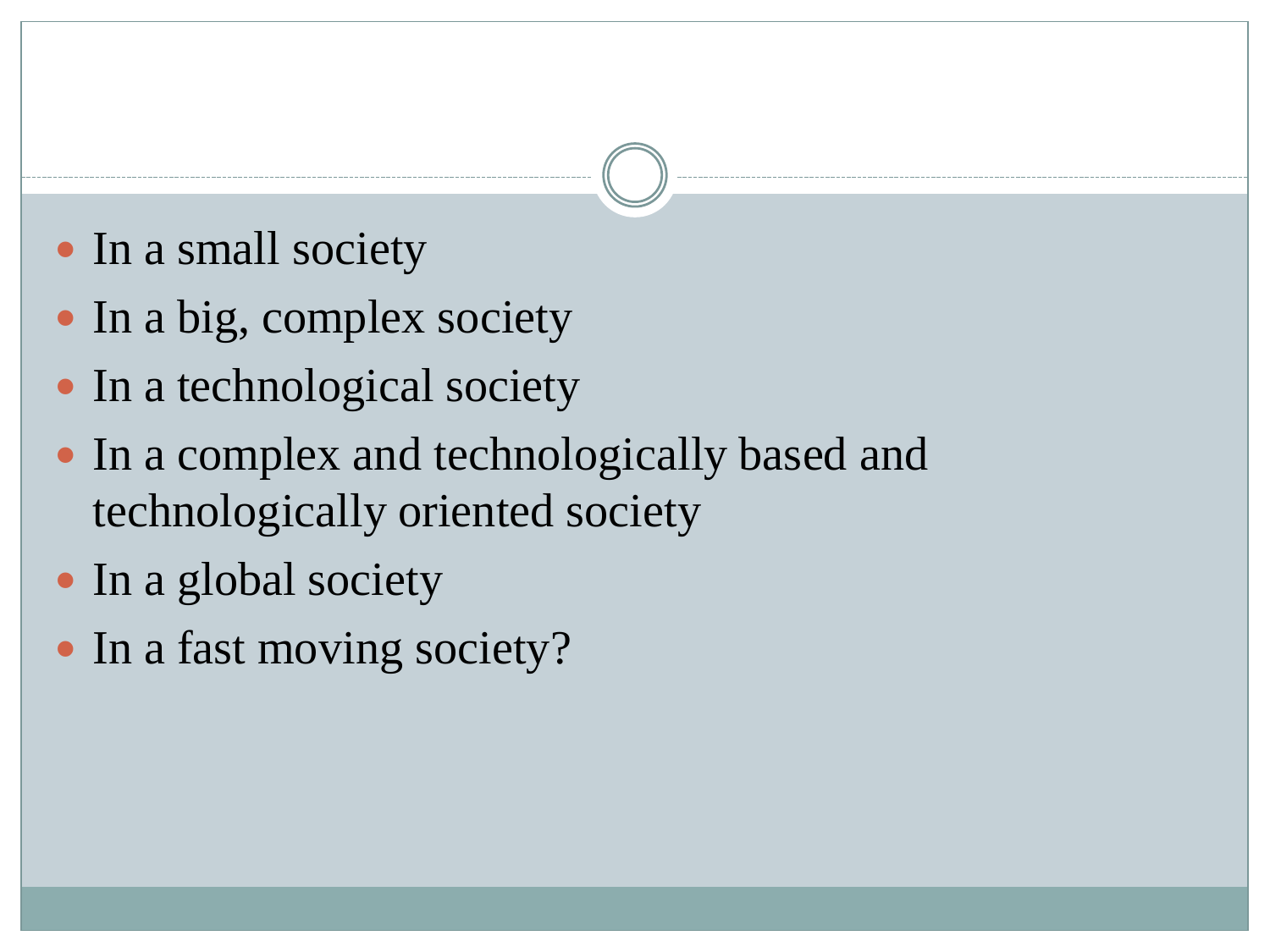- In a small society
- In a big, complex society
- In a technological society
- In a complex and technologically based and technologically oriented society
- In a global society
- In a fast moving society?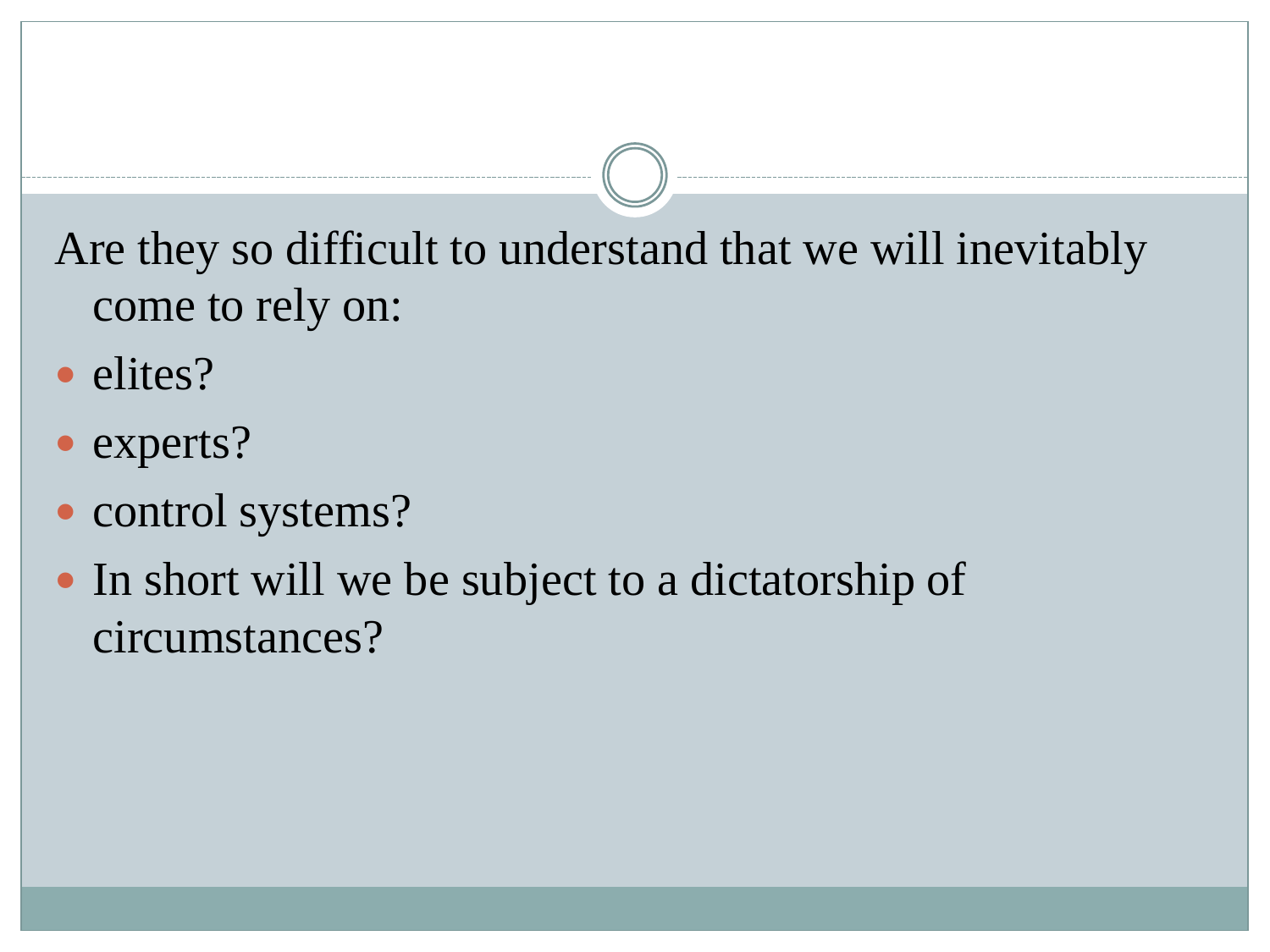Are they so difficult to understand that we will inevitably come to rely on:

- elites?
- experts?
- control systems?
- In short will we be subject to a dictatorship of circumstances?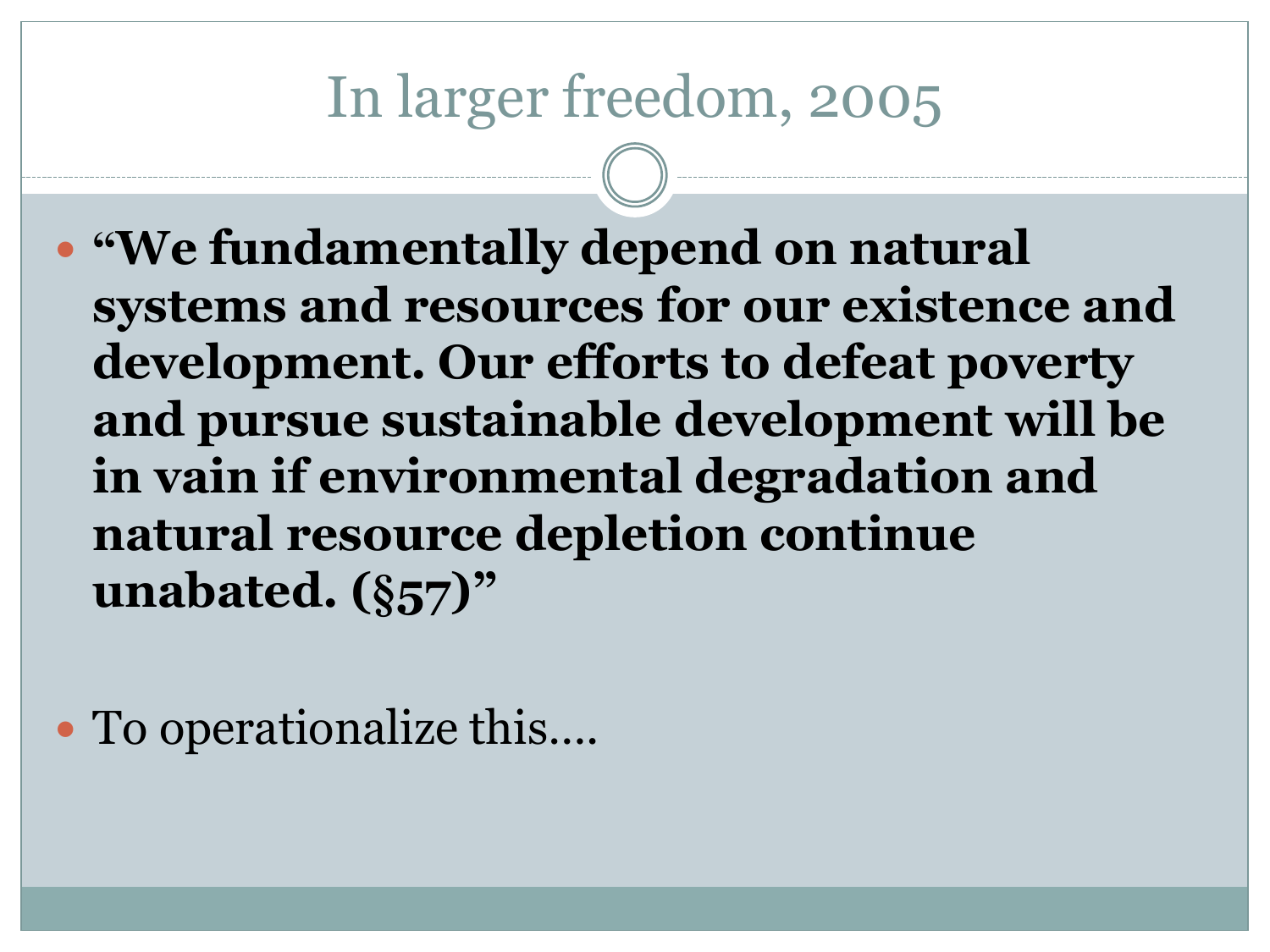#### In larger freedom, 2005

 **"We fundamentally depend on natural systems and resources for our existence and development. Our efforts to defeat poverty and pursue sustainable development will be in vain if environmental degradation and natural resource depletion continue unabated. (§57)"**

• To operationalize this....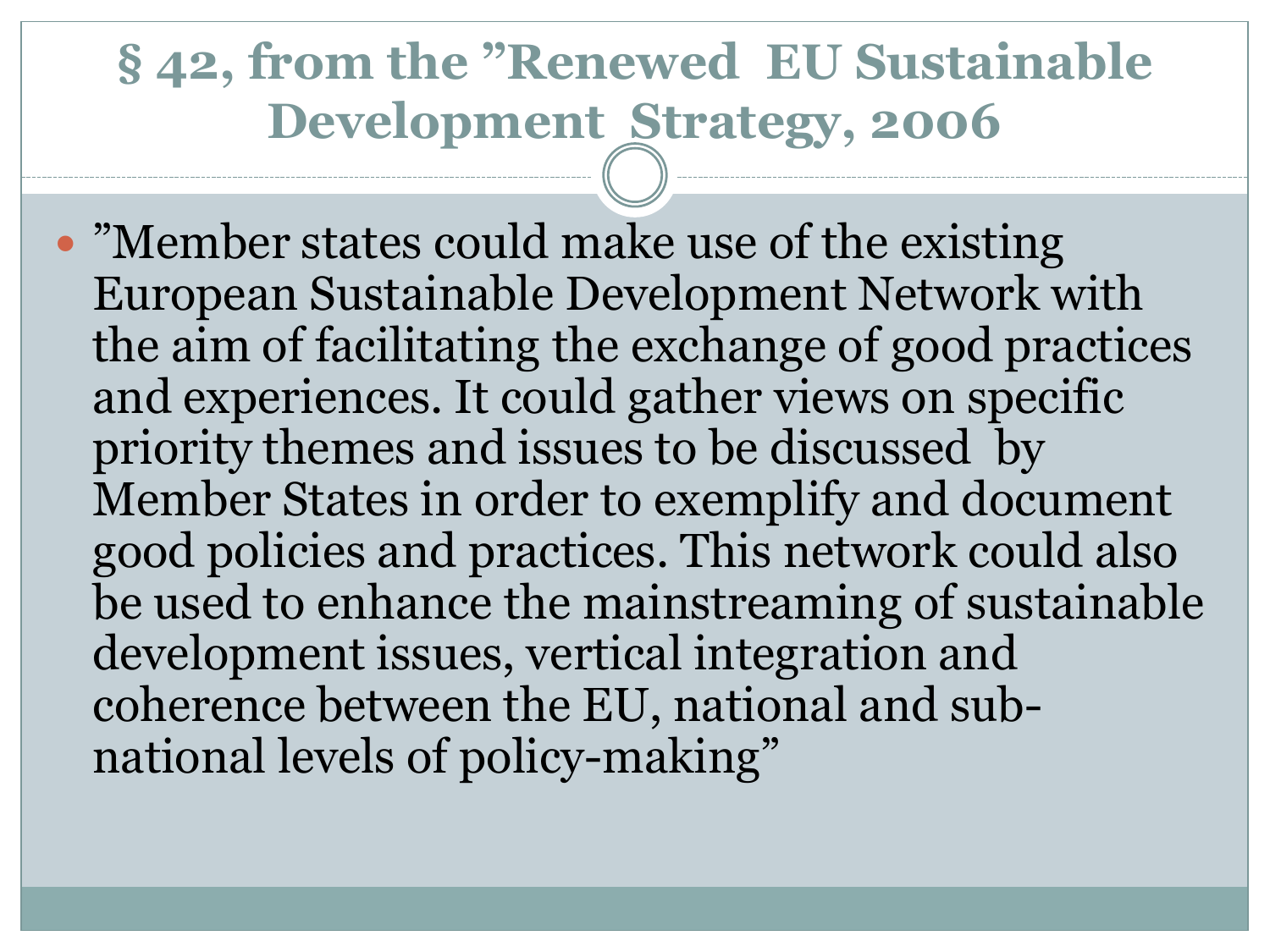#### **§ 42, from the "Renewed EU Sustainable Development Strategy, 2006**

 "Member states could make use of the existing European Sustainable Development Network with the aim of facilitating the exchange of good practices and experiences. It could gather views on specific priority themes and issues to be discussed by Member States in order to exemplify and document good policies and practices. This network could also be used to enhance the mainstreaming of sustainable development issues, vertical integration and coherence between the EU, national and subnational levels of policy-making"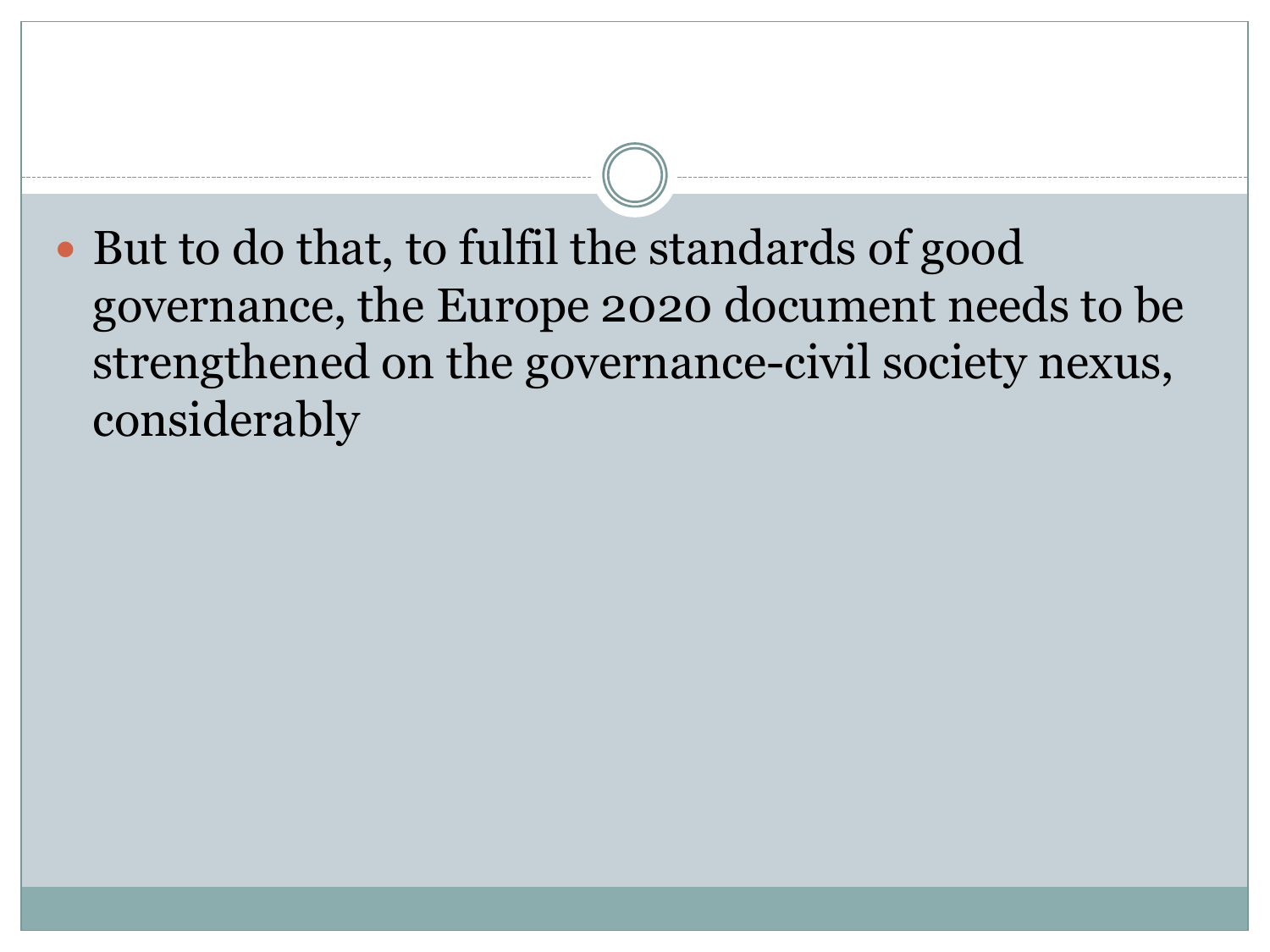• But to do that, to fulfil the standards of good governance, the Europe 2020 document needs to be strengthened on the governance-civil society nexus, considerably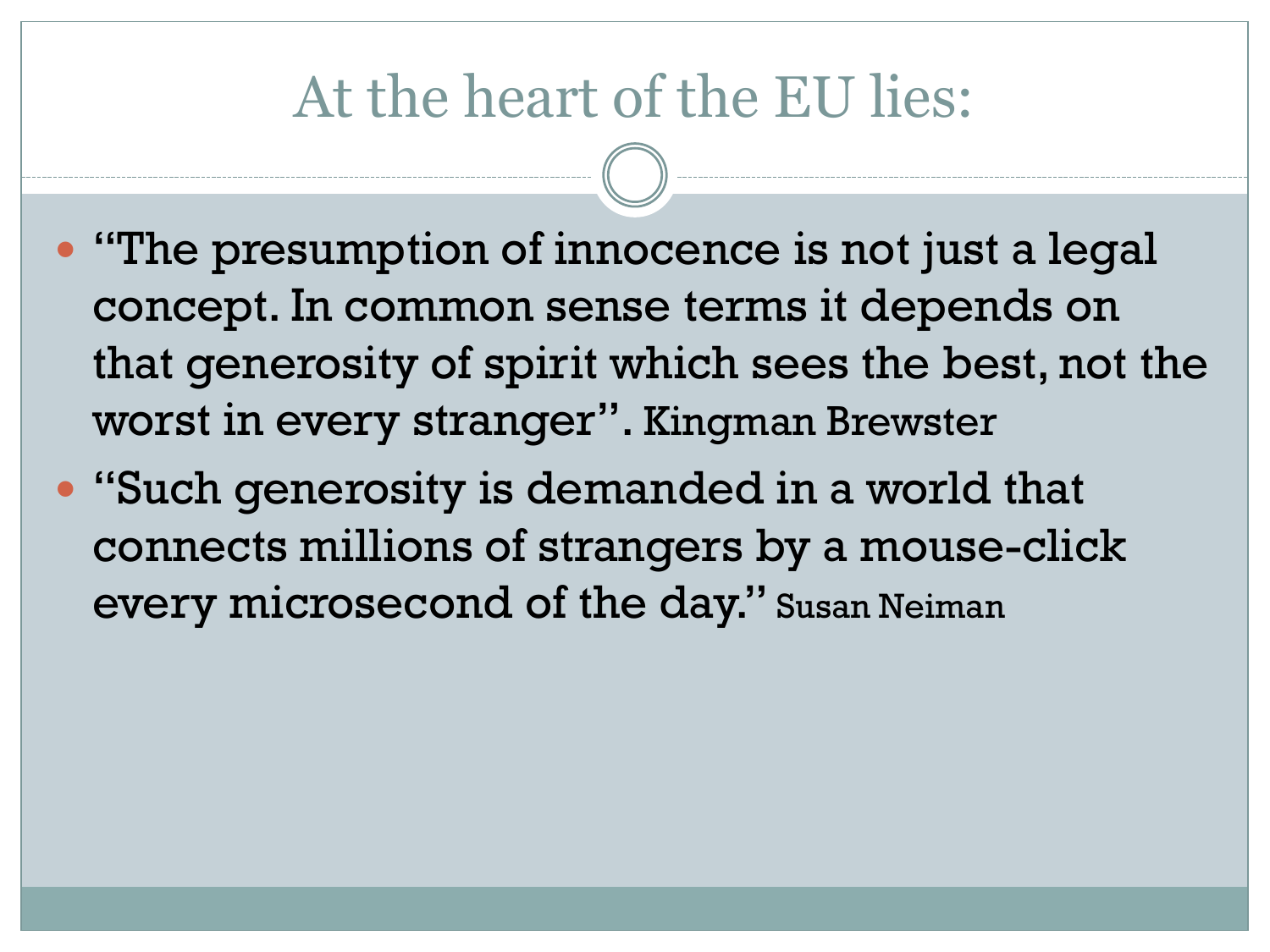#### At the heart of the EU lies:

- "The presumption of innocence is not just a legal concept. In common sense terms it depends on that generosity of spirit which sees the best, not the worst in every stranger". Kingman Brewster
- "Such generosity is demanded in a world that connects millions of strangers by a mouse-click every microsecond of the day." Susan Neiman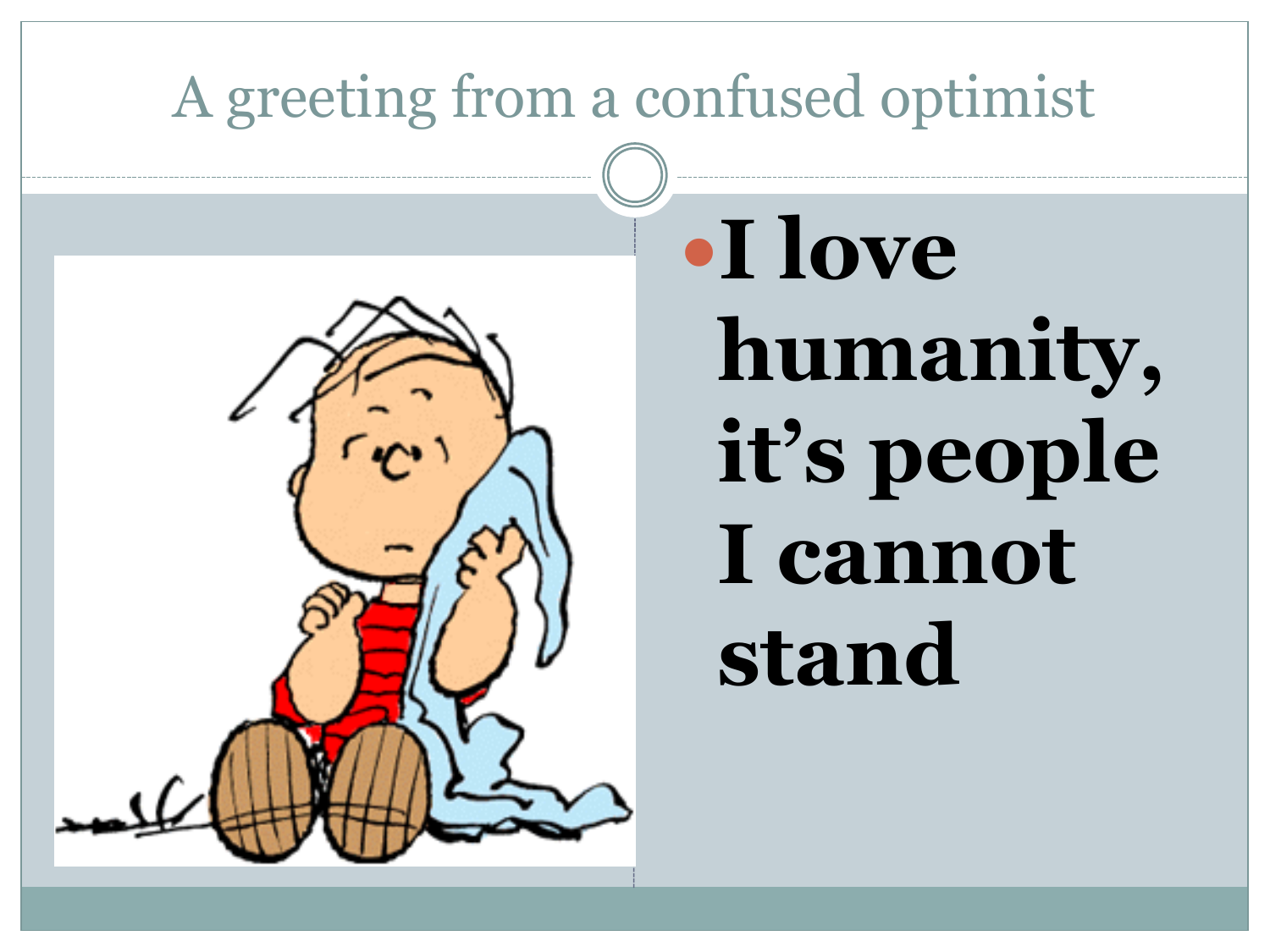### A greeting from a confused optimist



# **I love humanity, it"s people I cannot stand**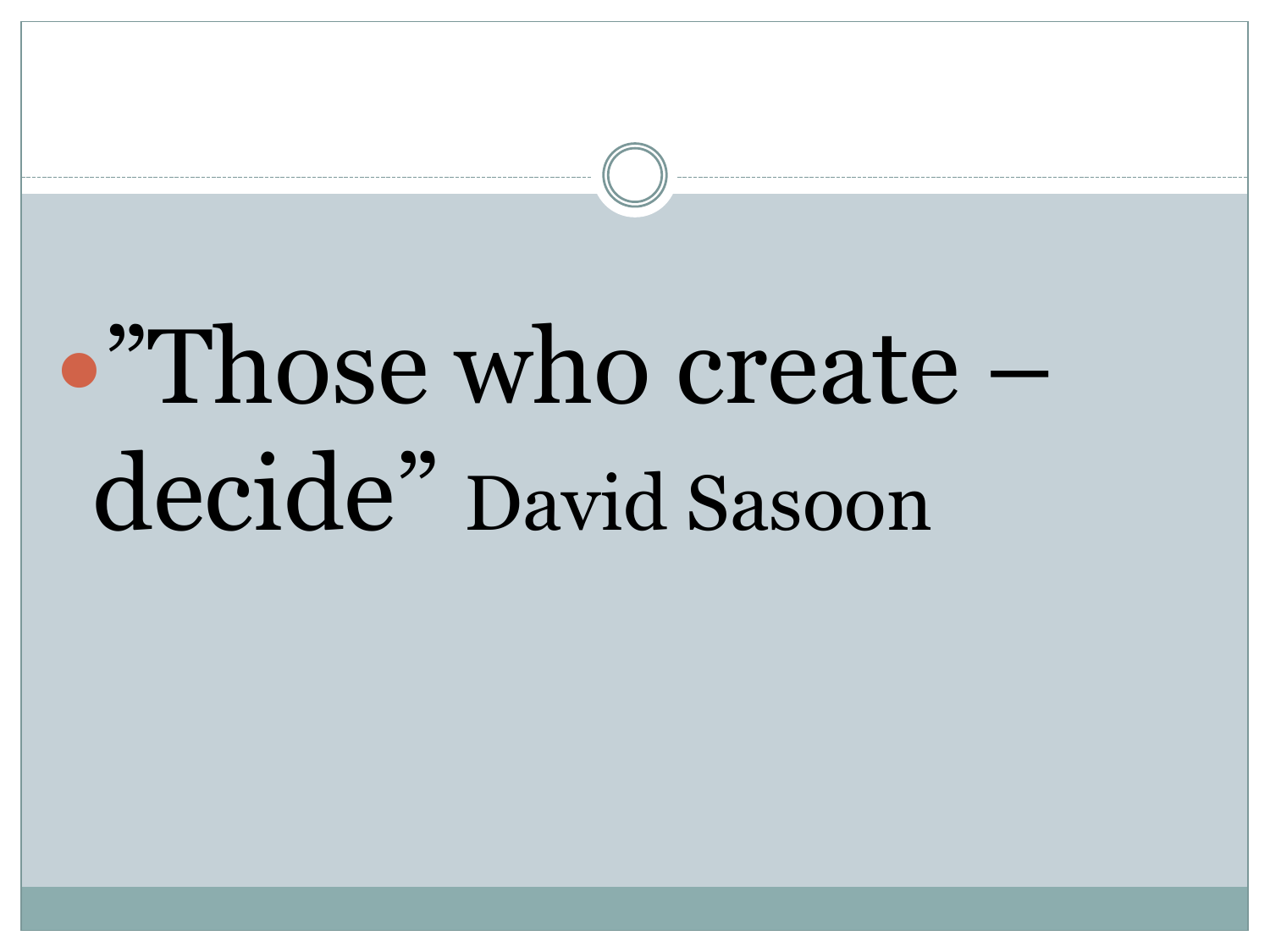# "Those who create – decide" David Sasoon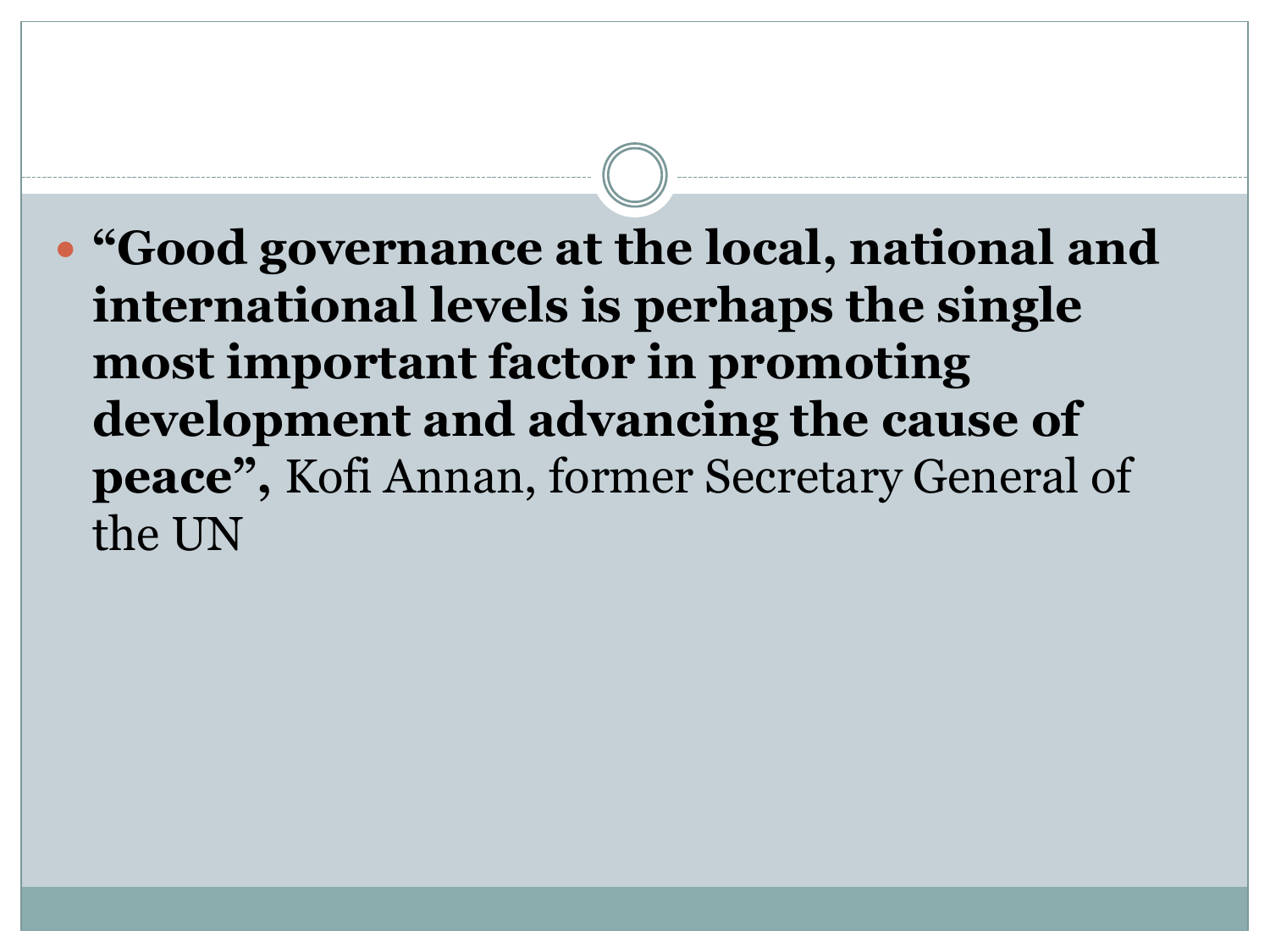**"Good governance at the local, national and international levels is perhaps the single most important factor in promoting development and advancing the cause of peace",** Kofi Annan, former Secretary General of the UN